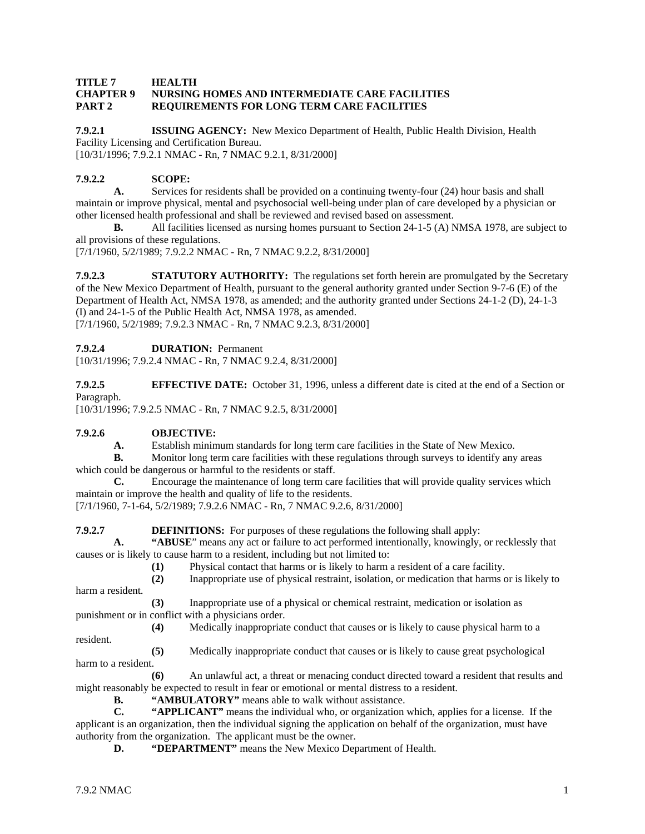#### **TITLE 7 HEALTH CHAPTER 9 NURSING HOMES AND INTERMEDIATE CARE FACILITIES PART 2 REQUIREMENTS FOR LONG TERM CARE FACILITIES**

**7.9.2.1 ISSUING AGENCY:** New Mexico Department of Health, Public Health Division, Health Facility Licensing and Certification Bureau.

[10/31/1996; 7.9.2.1 NMAC - Rn, 7 NMAC 9.2.1, 8/31/2000]

#### **7.9.2.2 SCOPE:**

**A.** Services for residents shall be provided on a continuing twenty-four (24) hour basis and shall maintain or improve physical, mental and psychosocial well-being under plan of care developed by a physician or other licensed health professional and shall be reviewed and revised based on assessment.<br> **B.** All facilities licensed as nursing homes pursuant to Section 24-1-5 (A) N

**B.** All facilities licensed as nursing homes pursuant to Section 24-1-5 (A) NMSA 1978, are subject to all provisions of these regulations.

[7/1/1960, 5/2/1989; 7.9.2.2 NMAC - Rn, 7 NMAC 9.2.2, 8/31/2000]

**7.9.2.3 STATUTORY AUTHORITY:** The regulations set forth herein are promulgated by the Secretary of the New Mexico Department of Health, pursuant to the general authority granted under Section 9-7-6 (E) of the Department of Health Act, NMSA 1978, as amended; and the authority granted under Sections 24-1-2 (D), 24-1-3 (I) and 24-1-5 of the Public Health Act, NMSA 1978, as amended. [7/1/1960, 5/2/1989; 7.9.2.3 NMAC - Rn, 7 NMAC 9.2.3, 8/31/2000]

**7.9.2.4 DURATION:** Permanent

[10/31/1996; 7.9.2.4 NMAC - Rn, 7 NMAC 9.2.4, 8/31/2000]

**7.9.2.5 EFFECTIVE DATE:** October 31, 1996, unless a different date is cited at the end of a Section or Paragraph.

[10/31/1996; 7.9.2.5 NMAC - Rn, 7 NMAC 9.2.5, 8/31/2000]

#### **7.9.2.6 OBJECTIVE:**

**A.** Establish minimum standards for long term care facilities in the State of New Mexico.

**B.** Monitor long term care facilities with these regulations through surveys to identify any areas which could be dangerous or harmful to the residents or staff.

**C.** Encourage the maintenance of long term care facilities that will provide quality services which maintain or improve the health and quality of life to the residents.

[7/1/1960, 7-1-64, 5/2/1989; 7.9.2.6 NMAC - Rn, 7 NMAC 9.2.6, 8/31/2000]

**7.9.2.7 DEFINITIONS:** For purposes of these regulations the following shall apply:

**A. "ABUSE**" means any act or failure to act performed intentionally, knowingly, or recklessly that causes or is likely to cause harm to a resident, including but not limited to:

**(1)** Physical contact that harms or is likely to harm a resident of a care facility.

**(2)** Inappropriate use of physical restraint, isolation, or medication that harms or is likely to harm a resident.

**(3)** Inappropriate use of a physical or chemical restraint, medication or isolation as punishment or in conflict with a physicians order.

resident.

**(4)** Medically inappropriate conduct that causes or is likely to cause physical harm to a

**(5)** Medically inappropriate conduct that causes or is likely to cause great psychological harm to a resident.

**(6)** An unlawful act, a threat or menacing conduct directed toward a resident that results and might reasonably be expected to result in fear or emotional or mental distress to a resident.

**B. "AMBULATORY"** means able to walk without assistance.<br>**C. "APPLICANT"** means the individual who. or organization

**C. "APPLICANT"** means the individual who, or organization which, applies for a license. If the applicant is an organization, then the individual signing the application on behalf of the organization, must have authority from the organization. The applicant must be the owner.

**D. "DEPARTMENT"** means the New Mexico Department of Health.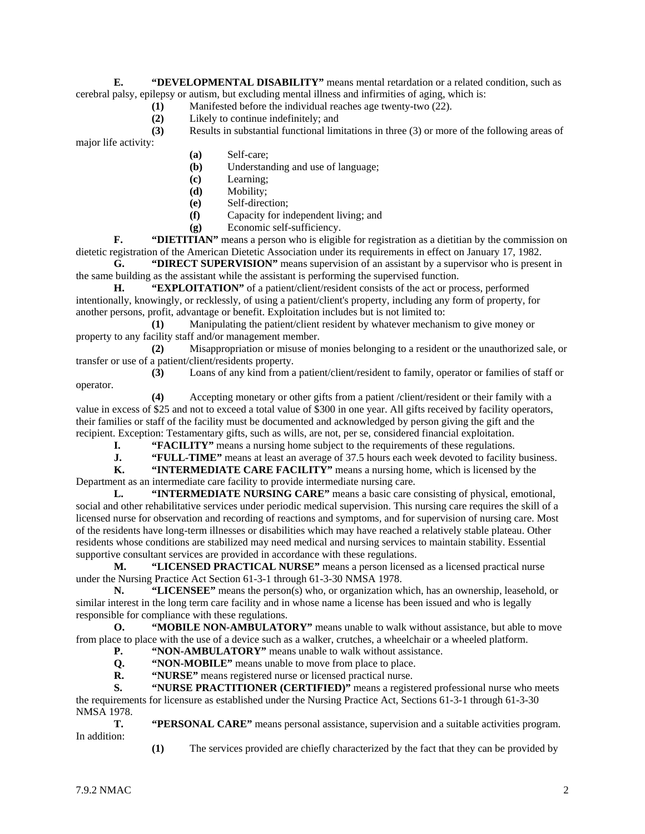**E. "DEVELOPMENTAL DISABILITY"** means mental retardation or a related condition, such as cerebral palsy, epilepsy or autism, but excluding mental illness and infirmities of aging, which is:

- (1) Manifested before the individual reaches age twenty-two (22).<br>
(2) Likely to continue indefinitely; and
- **(2)** Likely to continue indefinitely; and

**(3)** Results in substantial functional limitations in three (3) or more of the following areas of major life activity:

- **(a)** Self-care;
- **(b)** Understanding and use of language;
- **(c)** Learning;
- **(d)** Mobility;
- **(e)** Self-direction;
- **(f)** Capacity for independent living; and
- **(g)** Economic self-sufficiency.

**F. "DIETITIAN"** means a person who is eligible for registration as a dietitian by the commission on dietetic registration of the American Dietetic Association under its requirements in effect on January 17, 1982.

**G. "DIRECT SUPERVISION"** means supervision of an assistant by a supervisor who is present in the same building as the assistant while the assistant is performing the supervised function.

**H. "EXPLOITATION"** of a patient/client/resident consists of the act or process, performed intentionally, knowingly, or recklessly, of using a patient/client's property, including any form of property, for another persons, profit, advantage or benefit. Exploitation includes but is not limited to:

**(1)** Manipulating the patient/client resident by whatever mechanism to give money or property to any facility staff and/or management member.

**(2)** Misappropriation or misuse of monies belonging to a resident or the unauthorized sale, or transfer or use of a patient/client/residents property.

**(3)** Loans of any kind from a patient/client/resident to family, operator or families of staff or

**(4)** Accepting monetary or other gifts from a patient /client/resident or their family with a value in excess of \$25 and not to exceed a total value of \$300 in one year. All gifts received by facility operators, their families or staff of the facility must be documented and acknowledged by person giving the gift and the recipient. Exception: Testamentary gifts, such as wills, are not, per se, considered financial exploitation.

**I. "FACILITY"** means a nursing home subject to the requirements of these regulations.<br>**J. "FULL-TIME"** means at least an average of 37.5 hours each week devoted to facility

**J. "FULL-TIME"** means at least an average of 37.5 hours each week devoted to facility business.<br> **K. "INTERMEDIATE CARE FACILITY"** means a nursing home, which is licensed by the

**"INTERMEDIATE CARE FACILITY"** means a nursing home, which is licensed by the Department as an intermediate care facility to provide intermediate nursing care.

**L. "INTERMEDIATE NURSING CARE"** means a basic care consisting of physical, emotional, social and other rehabilitative services under periodic medical supervision. This nursing care requires the skill of a licensed nurse for observation and recording of reactions and symptoms, and for supervision of nursing care. Most of the residents have long-term illnesses or disabilities which may have reached a relatively stable plateau. Other residents whose conditions are stabilized may need medical and nursing services to maintain stability. Essential supportive consultant services are provided in accordance with these regulations.

**M. "LICENSED PRACTICAL NURSE"** means a person licensed as a licensed practical nurse under the Nursing Practice Act Section 61-3-1 through 61-3-30 NMSA 1978.

**N. "LICENSEE"** means the person(s) who, or organization which, has an ownership, leasehold, or similar interest in the long term care facility and in whose name a license has been issued and who is legally responsible for compliance with these regulations.

**O. "MOBILE NON-AMBULATORY"** means unable to walk without assistance, but able to move from place to place with the use of a device such as a walker, crutches, a wheelchair or a wheeled platform.

**P. "NON-AMBULATORY"** means unable to walk without assistance.

**Q. "NON-MOBILE"** means unable to move from place to place.

**R. "NURSE"** means registered nurse or licensed practical nurse.

**S. "NURSE PRACTITIONER (CERTIFIED)"** means a registered professional nurse who meets the requirements for licensure as established under the Nursing Practice Act, Sections 61-3-1 through 61-3-30 NMSA 1978.

**T. "PERSONAL CARE"** means personal assistance, supervision and a suitable activities program. In addition:

**(1)** The services provided are chiefly characterized by the fact that they can be provided by

operator.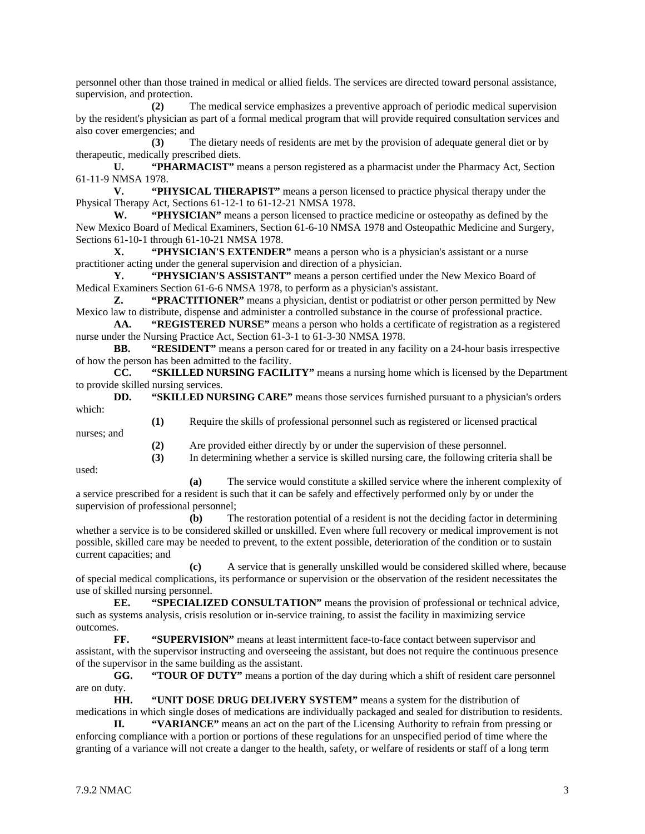personnel other than those trained in medical or allied fields. The services are directed toward personal assistance, supervision, and protection.

**(2)** The medical service emphasizes a preventive approach of periodic medical supervision by the resident's physician as part of a formal medical program that will provide required consultation services and also cover emergencies; and

**(3)** The dietary needs of residents are met by the provision of adequate general diet or by therapeutic, medically prescribed diets.

**U. "PHARMACIST"** means a person registered as a pharmacist under the Pharmacy Act, Section 61-11-9 NMSA 1978.

**V. "PHYSICAL THERAPIST"** means a person licensed to practice physical therapy under the Physical Therapy Act, Sections 61-12-1 to 61-12-21 NMSA 1978.

**W. "PHYSICIAN"** means a person licensed to practice medicine or osteopathy as defined by the New Mexico Board of Medical Examiners, Section 61-6-10 NMSA 1978 and Osteopathic Medicine and Surgery, Sections 61-10-1 through 61-10-21 NMSA 1978.

**X. "PHYSICIAN'S EXTENDER"** means a person who is a physician's assistant or a nurse practitioner acting under the general supervision and direction of a physician.

**Y. "PHYSICIAN'S ASSISTANT"** means a person certified under the New Mexico Board of Medical Examiners Section 61-6-6 NMSA 1978, to perform as a physician's assistant.

**Z. "PRACTITIONER"** means a physician, dentist or podiatrist or other person permitted by New Mexico law to distribute, dispense and administer a controlled substance in the course of professional practice.

**AA. "REGISTERED NURSE"** means a person who holds a certificate of registration as a registered nurse under the Nursing Practice Act, Section 61-3-1 to 61-3-30 NMSA 1978.

**BB. "RESIDENT"** means a person cared for or treated in any facility on a 24-hour basis irrespective of how the person has been admitted to the facility.

**CC. "SKILLED NURSING FACILITY"** means a nursing home which is licensed by the Department to provide skilled nursing services.

**DD. "SKILLED NURSING CARE"** means those services furnished pursuant to a physician's orders which:

nurses; and

**(2)** Are provided either directly by or under the supervision of these personnel.

**(3)** In determining whether a service is skilled nursing care, the following criteria shall be

**(1)** Require the skills of professional personnel such as registered or licensed practical

used:

**(a)** The service would constitute a skilled service where the inherent complexity of a service prescribed for a resident is such that it can be safely and effectively performed only by or under the supervision of professional personnel;

**(b)** The restoration potential of a resident is not the deciding factor in determining whether a service is to be considered skilled or unskilled. Even where full recovery or medical improvement is not possible, skilled care may be needed to prevent, to the extent possible, deterioration of the condition or to sustain current capacities; and

**(c)** A service that is generally unskilled would be considered skilled where, because of special medical complications, its performance or supervision or the observation of the resident necessitates the use of skilled nursing personnel.

**EE. "SPECIALIZED CONSULTATION"** means the provision of professional or technical advice, such as systems analysis, crisis resolution or in-service training, to assist the facility in maximizing service outcomes.

**FF. "SUPERVISION"** means at least intermittent face-to-face contact between supervisor and assistant, with the supervisor instructing and overseeing the assistant, but does not require the continuous presence of the supervisor in the same building as the assistant.

**GG. "TOUR OF DUTY"** means a portion of the day during which a shift of resident care personnel are on duty.

**HH. "UNIT DOSE DRUG DELIVERY SYSTEM"** means a system for the distribution of medications in which single doses of medications are individually packaged and sealed for distribution to residents.

**II. "VARIANCE"** means an act on the part of the Licensing Authority to refrain from pressing or enforcing compliance with a portion or portions of these regulations for an unspecified period of time where the granting of a variance will not create a danger to the health, safety, or welfare of residents or staff of a long term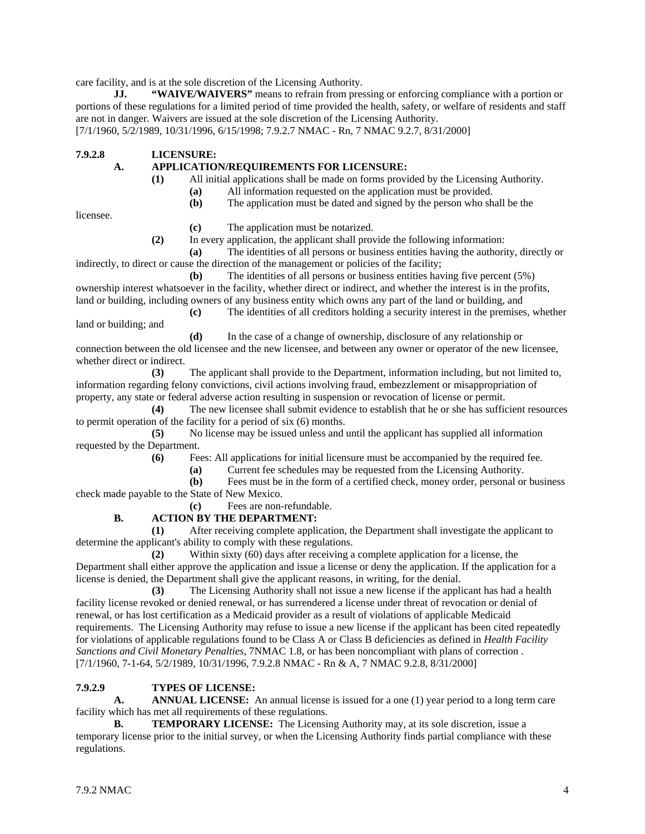care facility, and is at the sole discretion of the Licensing Authority.

**JJ. "WAIVE/WAIVERS"** means to refrain from pressing or enforcing compliance with a portion or portions of these regulations for a limited period of time provided the health, safety, or welfare of residents and staff are not in danger. Waivers are issued at the sole discretion of the Licensing Authority. [7/1/1960, 5/2/1989, 10/31/1996, 6/15/1998; 7.9.2.7 NMAC - Rn, 7 NMAC 9.2.7, 8/31/2000]

**7.9.2.8 LICENSURE:**

#### **A. APPLICATION/REQUIREMENTS FOR LICENSURE:**

- **(1)** All initial applications shall be made on forms provided by the Licensing Authority.
	- **(a)** All information requested on the application must be provided.
	- **(b)** The application must be dated and signed by the person who shall be the

licensee.

- **(c)** The application must be notarized.
- **(2)** In every application, the applicant shall provide the following information:

**(a)** The identities of all persons or business entities having the authority, directly or indirectly, to direct or cause the direction of the management or policies of the facility;

**(b)** The identities of all persons or business entities having five percent (5%) ownership interest whatsoever in the facility, whether direct or indirect, and whether the interest is in the profits, land or building, including owners of any business entity which owns any part of the land or building, and

**(c)** The identities of all creditors holding a security interest in the premises, whether land or building; and

**(d)** In the case of a change of ownership, disclosure of any relationship or connection between the old licensee and the new licensee, and between any owner or operator of the new licensee, whether direct or indirect.

**(3)** The applicant shall provide to the Department, information including, but not limited to, information regarding felony convictions, civil actions involving fraud, embezzlement or misappropriation of property, any state or federal adverse action resulting in suspension or revocation of license or permit.

**(4)** The new licensee shall submit evidence to establish that he or she has sufficient resources to permit operation of the facility for a period of six (6) months.

**(5)** No license may be issued unless and until the applicant has supplied all information requested by the Department.

**(6)** Fees: All applications for initial licensure must be accompanied by the required fee.

**(a)** Current fee schedules may be requested from the Licensing Authority.

**(b)** Fees must be in the form of a certified check, money order, personal or business check made payable to the State of New Mexico.

**(c)** Fees are non-refundable.

#### **B. ACTION BY THE DEPARTMENT:**

**(1)** After receiving complete application, the Department shall investigate the applicant to determine the applicant's ability to comply with these regulations.

**(2)** Within sixty (60) days after receiving a complete application for a license, the Department shall either approve the application and issue a license or deny the application. If the application for a license is denied, the Department shall give the applicant reasons, in writing, for the denial.

**(3)** The Licensing Authority shall not issue a new license if the applicant has had a health facility license revoked or denied renewal, or has surrendered a license under threat of revocation or denial of renewal, or has lost certification as a Medicaid provider as a result of violations of applicable Medicaid requirements. The Licensing Authority may refuse to issue a new license if the applicant has been cited repeatedly for violations of applicable regulations found to be Class A or Class B deficiencies as defined in *Health Facility Sanctions and Civil Monetary Penalties*, 7NMAC 1.8, or has been noncompliant with plans of correction . [7/1/1960, 7-1-64, 5/2/1989, 10/31/1996, 7.9.2.8 NMAC - Rn & A, 7 NMAC 9.2.8, 8/31/2000]

#### **7.9.2.9 TYPES OF LICENSE:**

**A. ANNUAL LICENSE:** An annual license is issued for a one (1) year period to a long term care facility which has met all requirements of these regulations.

**B. TEMPORARY LICENSE:** The Licensing Authority may, at its sole discretion, issue a temporary license prior to the initial survey, or when the Licensing Authority finds partial compliance with these regulations.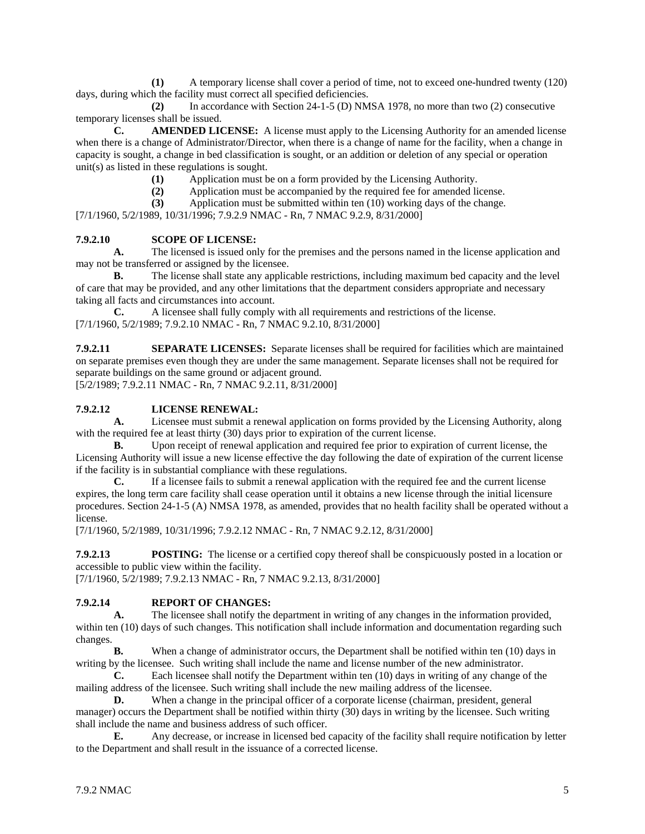**(1)** A temporary license shall cover a period of time, not to exceed one-hundred twenty (120) days, during which the facility must correct all specified deficiencies.

**(2)** In accordance with Section 24-1-5 (D) NMSA 1978, no more than two (2) consecutive temporary licenses shall be issued.

**C. AMENDED LICENSE:** A license must apply to the Licensing Authority for an amended license when there is a change of Administrator/Director, when there is a change of name for the facility, when a change in capacity is sought, a change in bed classification is sought, or an addition or deletion of any special or operation unit(s) as listed in these regulations is sought.

**(1)** Application must be on a form provided by the Licensing Authority.

**(2)** Application must be accompanied by the required fee for amended license.

**(3)** Application must be submitted within ten (10) working days of the change.

[7/1/1960, 5/2/1989, 10/31/1996; 7.9.2.9 NMAC - Rn, 7 NMAC 9.2.9, 8/31/2000]

#### **7.9.2.10 SCOPE OF LICENSE:**

**A.** The licensed is issued only for the premises and the persons named in the license application and may not be transferred or assigned by the licensee.

**B.** The license shall state any applicable restrictions, including maximum bed capacity and the level of care that may be provided, and any other limitations that the department considers appropriate and necessary taking all facts and circumstances into account.

**C.** A licensee shall fully comply with all requirements and restrictions of the license. [7/1/1960, 5/2/1989; 7.9.2.10 NMAC - Rn, 7 NMAC 9.2.10, 8/31/2000]

**7.9.2.11 SEPARATE LICENSES:** Separate licenses shall be required for facilities which are maintained on separate premises even though they are under the same management. Separate licenses shall not be required for separate buildings on the same ground or adjacent ground.

[5/2/1989; 7.9.2.11 NMAC - Rn, 7 NMAC 9.2.11, 8/31/2000]

#### **7.9.2.12 LICENSE RENEWAL:**

**A.** Licensee must submit a renewal application on forms provided by the Licensing Authority, along with the required fee at least thirty (30) days prior to expiration of the current license.

**B.** Upon receipt of renewal application and required fee prior to expiration of current license, the Licensing Authority will issue a new license effective the day following the date of expiration of the current license if the facility is in substantial compliance with these regulations.

**C.** If a licensee fails to submit a renewal application with the required fee and the current license expires, the long term care facility shall cease operation until it obtains a new license through the initial licensure procedures. Section 24-1-5 (A) NMSA 1978, as amended, provides that no health facility shall be operated without a license.

[7/1/1960, 5/2/1989, 10/31/1996; 7.9.2.12 NMAC - Rn, 7 NMAC 9.2.12, 8/31/2000]

**7.9.2.13 POSTING:** The license or a certified copy thereof shall be conspicuously posted in a location or accessible to public view within the facility.

[7/1/1960, 5/2/1989; 7.9.2.13 NMAC - Rn, 7 NMAC 9.2.13, 8/31/2000]

## **7.9.2.14 REPORT OF CHANGES:**

**A.** The licensee shall notify the department in writing of any changes in the information provided, within ten (10) days of such changes. This notification shall include information and documentation regarding such changes.

**B.** When a change of administrator occurs, the Department shall be notified within ten (10) days in writing by the licensee. Such writing shall include the name and license number of the new administrator.

**C.** Each licensee shall notify the Department within ten (10) days in writing of any change of the mailing address of the licensee. Such writing shall include the new mailing address of the licensee.

**D.** When a change in the principal officer of a corporate license (chairman, president, general manager) occurs the Department shall be notified within thirty (30) days in writing by the licensee. Such writing shall include the name and business address of such officer.

**E.** Any decrease, or increase in licensed bed capacity of the facility shall require notification by letter to the Department and shall result in the issuance of a corrected license.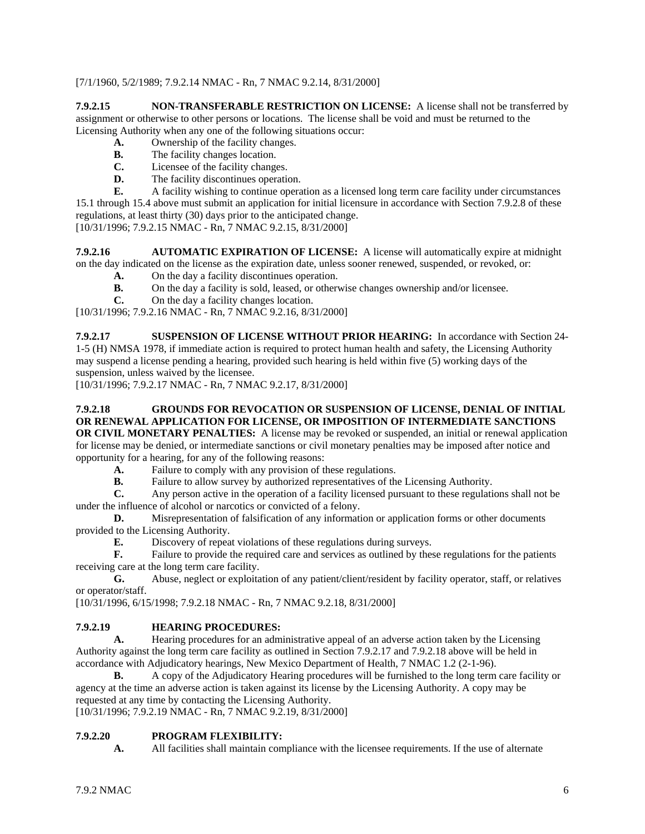[7/1/1960, 5/2/1989; 7.9.2.14 NMAC - Rn, 7 NMAC 9.2.14, 8/31/2000]

**7.9.2.15 NON-TRANSFERABLE RESTRICTION ON LICENSE:** A license shall not be transferred by assignment or otherwise to other persons or locations. The license shall be void and must be returned to the Licensing Authority when any one of the following situations occur:

- **A.** Ownership of the facility changes.
- **B.** The facility changes location.
- **C.** Licensee of the facility changes.
- **D.** The facility discontinues operation.

**E.** A facility wishing to continue operation as a licensed long term care facility under circumstances 15.1 through 15.4 above must submit an application for initial licensure in accordance with Section 7.9.2.8 of these regulations, at least thirty (30) days prior to the anticipated change.

[10/31/1996; 7.9.2.15 NMAC - Rn, 7 NMAC 9.2.15, 8/31/2000]

**7.9.2.16 AUTOMATIC EXPIRATION OF LICENSE:** A license will automatically expire at midnight on the day indicated on the license as the expiration date, unless sooner renewed, suspended, or revoked, or:

- **A.** On the day a facility discontinues operation.
- **B.** On the day a facility is sold, leased, or otherwise changes ownership and/or licensee.<br> **C.** On the day a facility changes location.
- **C.** On the day a facility changes location.

[10/31/1996; 7.9.2.16 NMAC - Rn, 7 NMAC 9.2.16, 8/31/2000]

**7.9.2.17 SUSPENSION OF LICENSE WITHOUT PRIOR HEARING:** In accordance with Section 24- 1-5 (H) NMSA 1978, if immediate action is required to protect human health and safety, the Licensing Authority may suspend a license pending a hearing, provided such hearing is held within five (5) working days of the suspension, unless waived by the licensee.

[10/31/1996; 7.9.2.17 NMAC - Rn, 7 NMAC 9.2.17, 8/31/2000]

## **7.9.2.18 GROUNDS FOR REVOCATION OR SUSPENSION OF LICENSE, DENIAL OF INITIAL OR RENEWAL APPLICATION FOR LICENSE, OR IMPOSITION OF INTERMEDIATE SANCTIONS**

**OR CIVIL MONETARY PENALTIES:** A license may be revoked or suspended, an initial or renewal application for license may be denied, or intermediate sanctions or civil monetary penalties may be imposed after notice and opportunity for a hearing, for any of the following reasons:

- **A.** Failure to comply with any provision of these regulations.<br>**B.** Failure to allow survey by authorized representatives of the
- **B.** Failure to allow survey by authorized representatives of the Licensing Authority.<br> **C.** Any person active in the operation of a facility licensed pursuant to these regulations

**C.** Any person active in the operation of a facility licensed pursuant to these regulations shall not be under the influence of alcohol or narcotics or convicted of a felony.

**D.** Misrepresentation of falsification of any information or application forms or other documents provided to the Licensing Authority.

**E.** Discovery of repeat violations of these regulations during surveys.

**F.** Failure to provide the required care and services as outlined by these regulations for the patients receiving care at the long term care facility.

**G.** Abuse, neglect or exploitation of any patient/client/resident by facility operator, staff, or relatives or operator/staff.

[10/31/1996, 6/15/1998; 7.9.2.18 NMAC - Rn, 7 NMAC 9.2.18, 8/31/2000]

#### **7.9.2.19 HEARING PROCEDURES:**

**A.** Hearing procedures for an administrative appeal of an adverse action taken by the Licensing Authority against the long term care facility as outlined in Section 7.9.2.17 and 7.9.2.18 above will be held in accordance with Adjudicatory hearings, New Mexico Department of Health, 7 NMAC 1.2 (2-1-96).

**B.** A copy of the Adjudicatory Hearing procedures will be furnished to the long term care facility or agency at the time an adverse action is taken against its license by the Licensing Authority. A copy may be requested at any time by contacting the Licensing Authority.

[10/31/1996; 7.9.2.19 NMAC - Rn, 7 NMAC 9.2.19, 8/31/2000]

#### **7.9.2.20 PROGRAM FLEXIBILITY:**

**A.** All facilities shall maintain compliance with the licensee requirements. If the use of alternate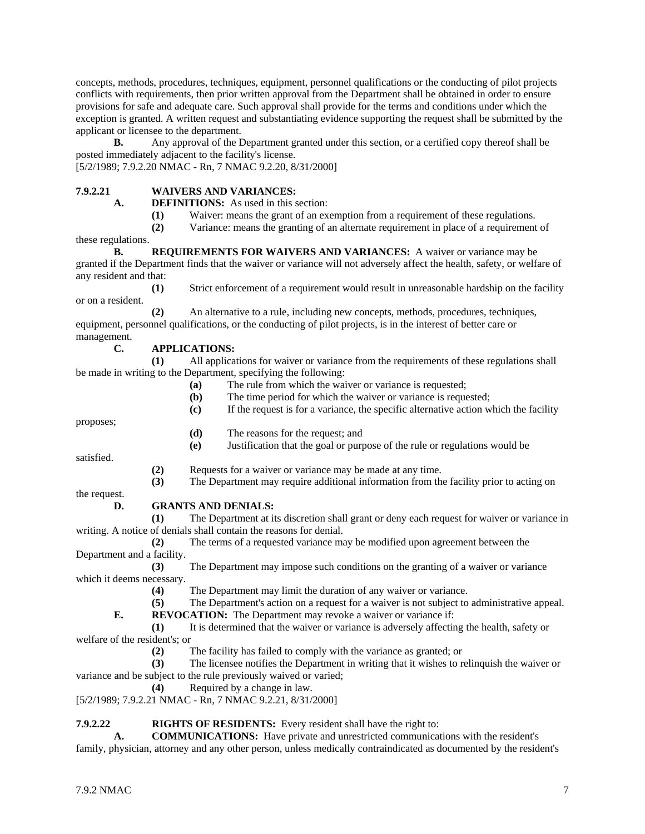concepts, methods, procedures, techniques, equipment, personnel qualifications or the conducting of pilot projects conflicts with requirements, then prior written approval from the Department shall be obtained in order to ensure provisions for safe and adequate care. Such approval shall provide for the terms and conditions under which the exception is granted. A written request and substantiating evidence supporting the request shall be submitted by the applicant or licensee to the department.

**B.** Any approval of the Department granted under this section, or a certified copy thereof shall be posted immediately adjacent to the facility's license.

[5/2/1989; 7.9.2.20 NMAC - Rn, 7 NMAC 9.2.20, 8/31/2000]

#### **7.9.2.21 WAIVERS AND VARIANCES:**

**A. DEFINITIONS:** As used in this section:

(1) Waiver: means the grant of an exemption from a requirement of these regulations.<br>(2) Variance: means the granting of an alternate requirement in place of a requirement

**(2)** Variance: means the granting of an alternate requirement in place of a requirement of

these regulations. **B. REQUIREMENTS FOR WAIVERS AND VARIANCES:** A waiver or variance may be granted if the Department finds that the waiver or variance will not adversely affect the health, safety, or welfare of any resident and that:

**(1)** Strict enforcement of a requirement would result in unreasonable hardship on the facility or on a resident.

**(2)** An alternative to a rule, including new concepts, methods, procedures, techniques, equipment, personnel qualifications, or the conducting of pilot projects, is in the interest of better care or management.

#### **C. APPLICATIONS:**

**(1)** All applications for waiver or variance from the requirements of these regulations shall be made in writing to the Department, specifying the following:

- **(a)** The rule from which the waiver or variance is requested;
- **(b)** The time period for which the waiver or variance is requested;
- **(c)** If the request is for a variance, the specific alternative action which the facility

proposes;

- **(d)** The reasons for the request; and
- **(e)** Justification that the goal or purpose of the rule or regulations would be

satisfied.

- **(2)** Requests for a waiver or variance may be made at any time.
- **(3)** The Department may require additional information from the facility prior to acting on

the request.

**D. GRANTS AND DENIALS:**

**(1)** The Department at its discretion shall grant or deny each request for waiver or variance in writing. A notice of denials shall contain the reasons for denial.

**(2)** The terms of a requested variance may be modified upon agreement between the Department and a facility.

**(3)** The Department may impose such conditions on the granting of a waiver or variance which it deems necessary.

**(4)** The Department may limit the duration of any waiver or variance.

**(5)** The Department's action on a request for a waiver is not subject to administrative appeal.

**E. REVOCATION:** The Department may revoke a waiver or variance if:

**(1)** It is determined that the waiver or variance is adversely affecting the health, safety or welfare of the resident's; or

**(2)** The facility has failed to comply with the variance as granted; or

**(3)** The licensee notifies the Department in writing that it wishes to relinquish the waiver or variance and be subject to the rule previously waived or varied;

**(4)** Required by a change in law.

[5/2/1989; 7.9.2.21 NMAC - Rn, 7 NMAC 9.2.21, 8/31/2000]

#### **7.9.2.22 RIGHTS OF RESIDENTS:** Every resident shall have the right to:

**A. COMMUNICATIONS:** Have private and unrestricted communications with the resident's family, physician, attorney and any other person, unless medically contraindicated as documented by the resident's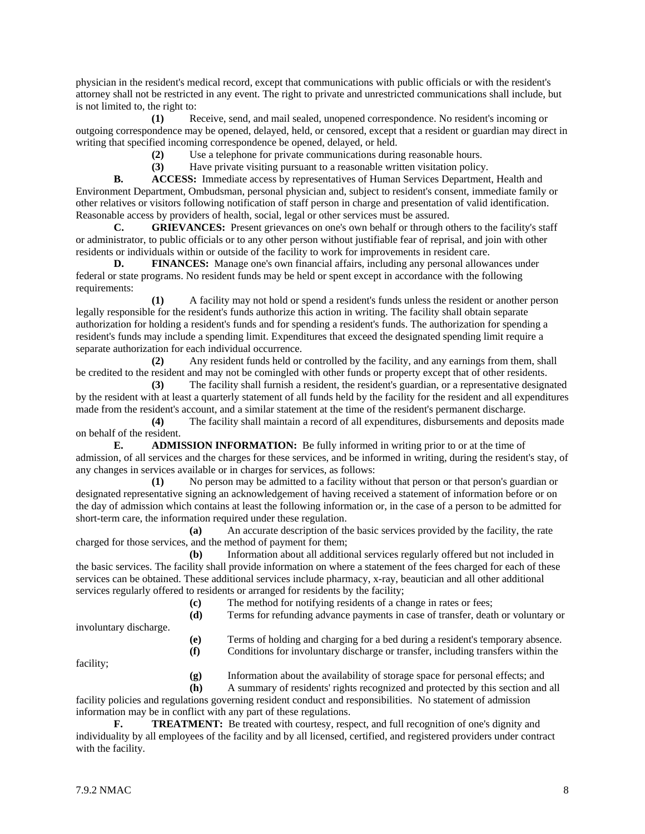physician in the resident's medical record, except that communications with public officials or with the resident's attorney shall not be restricted in any event. The right to private and unrestricted communications shall include, but is not limited to, the right to:

**(1)** Receive, send, and mail sealed, unopened correspondence. No resident's incoming or outgoing correspondence may be opened, delayed, held, or censored, except that a resident or guardian may direct in writing that specified incoming correspondence be opened, delayed, or held.

**(2)** Use a telephone for private communications during reasonable hours.

**(3)** Have private visiting pursuant to a reasonable written visitation policy.

**B. ACCESS:** Immediate access by representatives of Human Services Department, Health and Environment Department, Ombudsman, personal physician and, subject to resident's consent, immediate family or other relatives or visitors following notification of staff person in charge and presentation of valid identification. Reasonable access by providers of health, social, legal or other services must be assured.<br> **C.** GRIEVANCES: Present grievances on one's own behalf or through or

**GRIEVANCES:** Present grievances on one's own behalf or through others to the facility's staff or administrator, to public officials or to any other person without justifiable fear of reprisal, and join with other residents or individuals within or outside of the facility to work for improvements in resident care.

**D. FINANCES:** Manage one's own financial affairs, including any personal allowances under federal or state programs. No resident funds may be held or spent except in accordance with the following requirements:

**(1)** A facility may not hold or spend a resident's funds unless the resident or another person legally responsible for the resident's funds authorize this action in writing. The facility shall obtain separate authorization for holding a resident's funds and for spending a resident's funds. The authorization for spending a resident's funds may include a spending limit. Expenditures that exceed the designated spending limit require a separate authorization for each individual occurrence.

**(2)** Any resident funds held or controlled by the facility, and any earnings from them, shall be credited to the resident and may not be comingled with other funds or property except that of other residents.

**(3)** The facility shall furnish a resident, the resident's guardian, or a representative designated by the resident with at least a quarterly statement of all funds held by the facility for the resident and all expenditures made from the resident's account, and a similar statement at the time of the resident's permanent discharge.

**(4)** The facility shall maintain a record of all expenditures, disbursements and deposits made on behalf of the resident.

**E. ADMISSION INFORMATION:** Be fully informed in writing prior to or at the time of admission, of all services and the charges for these services, and be informed in writing, during the resident's stay, of any changes in services available or in charges for services, as follows:

**(1)** No person may be admitted to a facility without that person or that person's guardian or designated representative signing an acknowledgement of having received a statement of information before or on the day of admission which contains at least the following information or, in the case of a person to be admitted for short-term care, the information required under these regulation.

**(a)** An accurate description of the basic services provided by the facility, the rate charged for those services, and the method of payment for them;

**(b)** Information about all additional services regularly offered but not included in the basic services. The facility shall provide information on where a statement of the fees charged for each of these services can be obtained. These additional services include pharmacy, x-ray, beautician and all other additional services regularly offered to residents or arranged for residents by the facility;

- **(c)** The method for notifying residents of a change in rates or fees;
- **(d)** Terms for refunding advance payments in case of transfer, death or voluntary or

involuntary discharge.

**(e)** Terms of holding and charging for a bed during a resident's temporary absence.

**(f)** Conditions for involuntary discharge or transfer, including transfers within the

facility;

**(g)** Information about the availability of storage space for personal effects; and

**(h)** A summary of residents' rights recognized and protected by this section and all facility policies and regulations governing resident conduct and responsibilities. No statement of admission information may be in conflict with any part of these regulations.

**F. TREATMENT:** Be treated with courtesy, respect, and full recognition of one's dignity and individuality by all employees of the facility and by all licensed, certified, and registered providers under contract with the facility.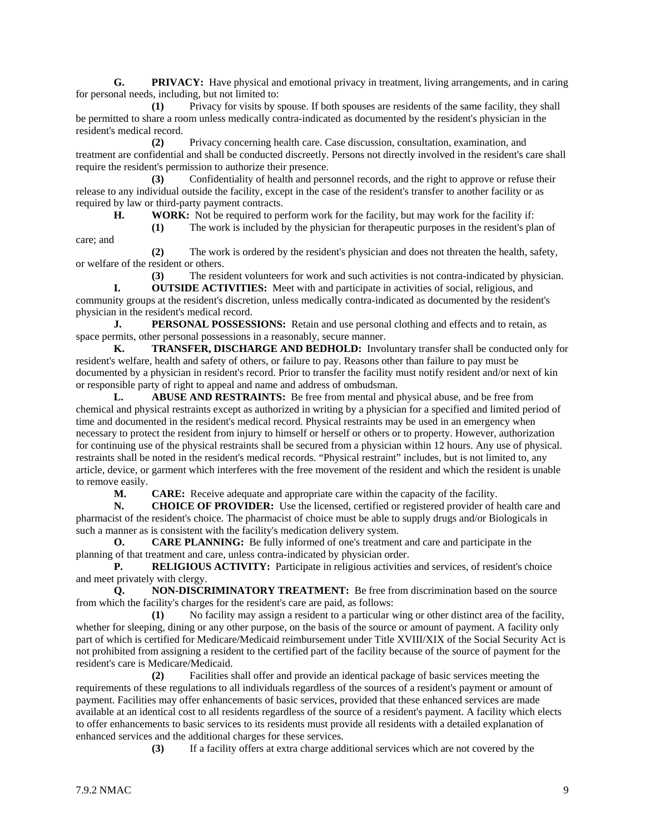**G. PRIVACY:** Have physical and emotional privacy in treatment, living arrangements, and in caring for personal needs, including, but not limited to:

**(1)** Privacy for visits by spouse. If both spouses are residents of the same facility, they shall be permitted to share a room unless medically contra-indicated as documented by the resident's physician in the resident's medical record.

**(2)** Privacy concerning health care. Case discussion, consultation, examination, and treatment are confidential and shall be conducted discreetly. Persons not directly involved in the resident's care shall require the resident's permission to authorize their presence.

**(3)** Confidentiality of health and personnel records, and the right to approve or refuse their release to any individual outside the facility, except in the case of the resident's transfer to another facility or as required by law or third-party payment contracts.

**H. WORK:** Not be required to perform work for the facility, but may work for the facility if:

**(1)** The work is included by the physician for therapeutic purposes in the resident's plan of

**(2)** The work is ordered by the resident's physician and does not threaten the health, safety, or welfare of the resident or others.

**(3)** The resident volunteers for work and such activities is not contra-indicated by physician. **I. OUTSIDE ACTIVITIES:** Meet with and participate in activities of social, religious, and

community groups at the resident's discretion, unless medically contra-indicated as documented by the resident's physician in the resident's medical record.

**J. PERSONAL POSSESSIONS:** Retain and use personal clothing and effects and to retain, as space permits, other personal possessions in a reasonably, secure manner.

**K. TRANSFER, DISCHARGE AND BEDHOLD:** Involuntary transfer shall be conducted only for resident's welfare, health and safety of others, or failure to pay. Reasons other than failure to pay must be documented by a physician in resident's record. Prior to transfer the facility must notify resident and/or next of kin or responsible party of right to appeal and name and address of ombudsman.

**L. ABUSE AND RESTRAINTS:** Be free from mental and physical abuse, and be free from chemical and physical restraints except as authorized in writing by a physician for a specified and limited period of time and documented in the resident's medical record. Physical restraints may be used in an emergency when necessary to protect the resident from injury to himself or herself or others or to property. However, authorization for continuing use of the physical restraints shall be secured from a physician within 12 hours. Any use of physical. restraints shall be noted in the resident's medical records. "Physical restraint" includes, but is not limited to, any article, device, or garment which interferes with the free movement of the resident and which the resident is unable to remove easily.

**M. CARE:** Receive adequate and appropriate care within the capacity of the facility.<br> **N. CHOICE OF PROVIDER:** Use the licensed, certified or registered provider of h

**N. CHOICE OF PROVIDER:** Use the licensed, certified or registered provider of health care and pharmacist of the resident's choice. The pharmacist of choice must be able to supply drugs and/or Biologicals in such a manner as is consistent with the facility's medication delivery system.

**O. CARE PLANNING:** Be fully informed of one's treatment and care and participate in the planning of that treatment and care, unless contra-indicated by physician order.

**P. RELIGIOUS ACTIVITY:** Participate in religious activities and services, of resident's choice and meet privately with clergy.

**Q. NON-DISCRIMINATORY TREATMENT:** Be free from discrimination based on the source from which the facility's charges for the resident's care are paid, as follows:

**(1)** No facility may assign a resident to a particular wing or other distinct area of the facility, whether for sleeping, dining or any other purpose, on the basis of the source or amount of payment. A facility only part of which is certified for Medicare/Medicaid reimbursement under Title XVIII/XIX of the Social Security Act is not prohibited from assigning a resident to the certified part of the facility because of the source of payment for the resident's care is Medicare/Medicaid.

**(2)** Facilities shall offer and provide an identical package of basic services meeting the requirements of these regulations to all individuals regardless of the sources of a resident's payment or amount of payment. Facilities may offer enhancements of basic services, provided that these enhanced services are made available at an identical cost to all residents regardless of the source of a resident's payment. A facility which elects to offer enhancements to basic services to its residents must provide all residents with a detailed explanation of enhanced services and the additional charges for these services.

**(3)** If a facility offers at extra charge additional services which are not covered by the

care; and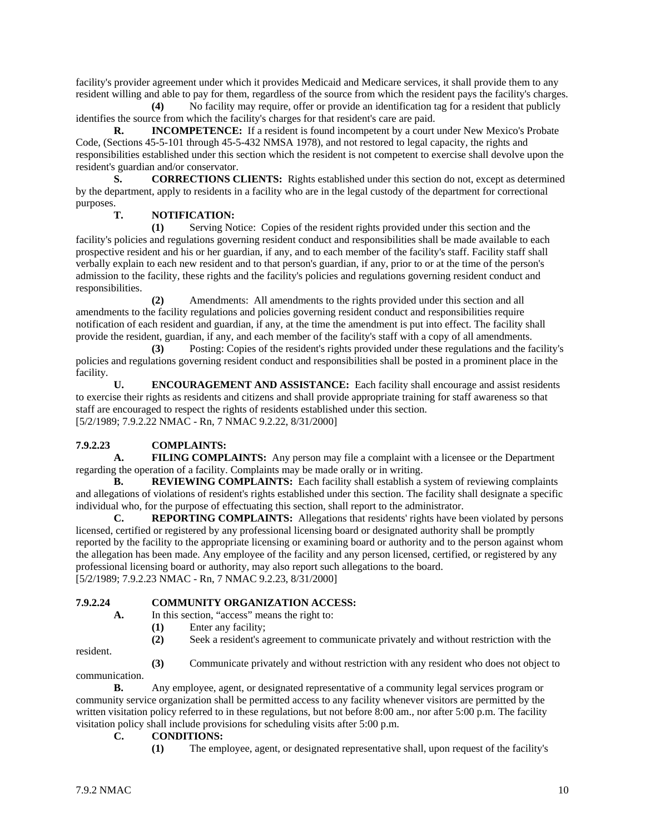facility's provider agreement under which it provides Medicaid and Medicare services, it shall provide them to any resident willing and able to pay for them, regardless of the source from which the resident pays the facility's charges.

**(4)** No facility may require, offer or provide an identification tag for a resident that publicly identifies the source from which the facility's charges for that resident's care are paid.

**R. INCOMPETENCE:** If a resident is found incompetent by a court under New Mexico's Probate Code, (Sections 45-5-101 through 45-5-432 NMSA 1978), and not restored to legal capacity, the rights and responsibilities established under this section which the resident is not competent to exercise shall devolve upon the resident's guardian and/or conservator.

**S. CORRECTIONS CLIENTS:** Rights established under this section do not, except as determined by the department, apply to residents in a facility who are in the legal custody of the department for correctional purposes.

#### **T. NOTIFICATION:**

**(1)** Serving Notice: Copies of the resident rights provided under this section and the facility's policies and regulations governing resident conduct and responsibilities shall be made available to each prospective resident and his or her guardian, if any, and to each member of the facility's staff. Facility staff shall verbally explain to each new resident and to that person's guardian, if any, prior to or at the time of the person's admission to the facility, these rights and the facility's policies and regulations governing resident conduct and responsibilities.

**(2)** Amendments: All amendments to the rights provided under this section and all amendments to the facility regulations and policies governing resident conduct and responsibilities require notification of each resident and guardian, if any, at the time the amendment is put into effect. The facility shall provide the resident, guardian, if any, and each member of the facility's staff with a copy of all amendments.

**(3)** Posting: Copies of the resident's rights provided under these regulations and the facility's policies and regulations governing resident conduct and responsibilities shall be posted in a prominent place in the facility.

**U. ENCOURAGEMENT AND ASSISTANCE:** Each facility shall encourage and assist residents to exercise their rights as residents and citizens and shall provide appropriate training for staff awareness so that staff are encouraged to respect the rights of residents established under this section. [5/2/1989; 7.9.2.22 NMAC - Rn, 7 NMAC 9.2.22, 8/31/2000]

### **7.9.2.23 COMPLAINTS:**

**A. FILING COMPLAINTS:** Any person may file a complaint with a licensee or the Department regarding the operation of a facility. Complaints may be made orally or in writing.

**B. REVIEWING COMPLAINTS:** Each facility shall establish a system of reviewing complaints and allegations of violations of resident's rights established under this section. The facility shall designate a specific individual who, for the purpose of effectuating this section, shall report to the administrator.

**C. REPORTING COMPLAINTS:** Allegations that residents' rights have been violated by persons licensed, certified or registered by any professional licensing board or designated authority shall be promptly reported by the facility to the appropriate licensing or examining board or authority and to the person against whom the allegation has been made. Any employee of the facility and any person licensed, certified, or registered by any professional licensing board or authority, may also report such allegations to the board. [5/2/1989; 7.9.2.23 NMAC - Rn, 7 NMAC 9.2.23, 8/31/2000]

# **7.9.2.24 COMMUNITY ORGANIZATION ACCESS:**

In this section, "access" means the right to:

- **(1)** Enter any facility;
- **(2)** Seek a resident's agreement to communicate privately and without restriction with the

resident.

**(3)** Communicate privately and without restriction with any resident who does not object to

communication.

**B.** Any employee, agent, or designated representative of a community legal services program or community service organization shall be permitted access to any facility whenever visitors are permitted by the written visitation policy referred to in these regulations, but not before 8:00 am., nor after 5:00 p.m. The facility visitation policy shall include provisions for scheduling visits after 5:00 p.m.

#### **C. CONDITIONS:**

**(1)** The employee, agent, or designated representative shall, upon request of the facility's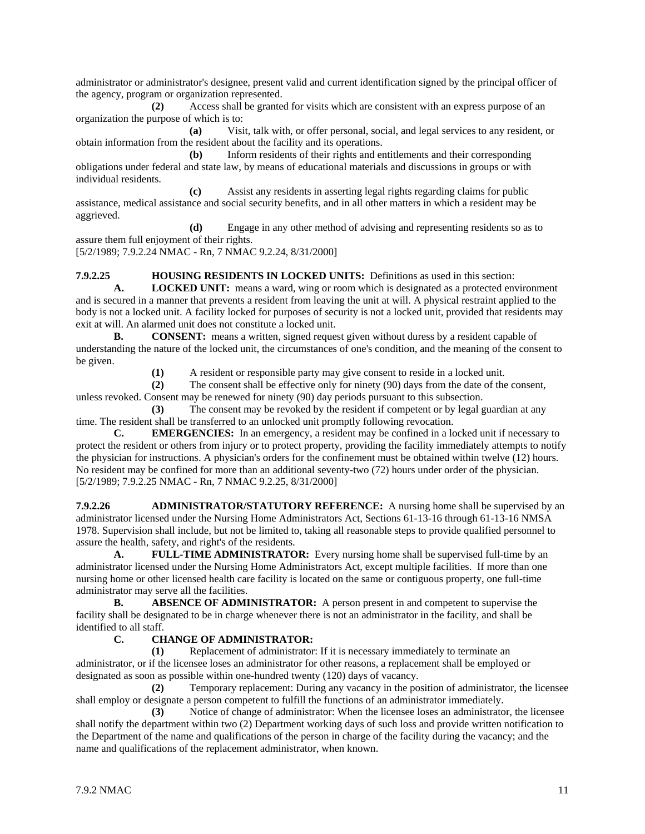administrator or administrator's designee, present valid and current identification signed by the principal officer of the agency, program or organization represented.

**(2)** Access shall be granted for visits which are consistent with an express purpose of an organization the purpose of which is to:

**(a)** Visit, talk with, or offer personal, social, and legal services to any resident, or obtain information from the resident about the facility and its operations.

**(b)** Inform residents of their rights and entitlements and their corresponding obligations under federal and state law, by means of educational materials and discussions in groups or with individual residents.

**(c)** Assist any residents in asserting legal rights regarding claims for public assistance, medical assistance and social security benefits, and in all other matters in which a resident may be aggrieved.

**(d)** Engage in any other method of advising and representing residents so as to assure them full enjoyment of their rights.

[5/2/1989; 7.9.2.24 NMAC - Rn, 7 NMAC 9.2.24, 8/31/2000]

**7.9.2.25 HOUSING RESIDENTS IN LOCKED UNITS:** Definitions as used in this section:

**A. LOCKED UNIT:** means a ward, wing or room which is designated as a protected environment and is secured in a manner that prevents a resident from leaving the unit at will. A physical restraint applied to the body is not a locked unit. A facility locked for purposes of security is not a locked unit, provided that residents may exit at will. An alarmed unit does not constitute a locked unit.

**B. CONSENT:** means a written, signed request given without duress by a resident capable of understanding the nature of the locked unit, the circumstances of one's condition, and the meaning of the consent to be given.

**(1)** A resident or responsible party may give consent to reside in a locked unit.

**(2)** The consent shall be effective only for ninety (90) days from the date of the consent, unless revoked. Consent may be renewed for ninety (90) day periods pursuant to this subsection.

**(3)** The consent may be revoked by the resident if competent or by legal guardian at any time. The resident shall be transferred to an unlocked unit promptly following revocation.

**C. EMERGENCIES:** In an emergency, a resident may be confined in a locked unit if necessary to protect the resident or others from injury or to protect property, providing the facility immediately attempts to notify the physician for instructions. A physician's orders for the confinement must be obtained within twelve (12) hours. No resident may be confined for more than an additional seventy-two (72) hours under order of the physician. [5/2/1989; 7.9.2.25 NMAC - Rn, 7 NMAC 9.2.25, 8/31/2000]

**7.9.2.26 ADMINISTRATOR/STATUTORY REFERENCE:** A nursing home shall be supervised by an administrator licensed under the Nursing Home Administrators Act, Sections 61-13-16 through 61-13-16 NMSA 1978. Supervision shall include, but not be limited to, taking all reasonable steps to provide qualified personnel to assure the health, safety, and right's of the residents.

**A. FULL-TIME ADMINISTRATOR:** Every nursing home shall be supervised full-time by an administrator licensed under the Nursing Home Administrators Act, except multiple facilities. If more than one nursing home or other licensed health care facility is located on the same or contiguous property, one full-time administrator may serve all the facilities.

**B. ABSENCE OF ADMINISTRATOR:** A person present in and competent to supervise the facility shall be designated to be in charge whenever there is not an administrator in the facility, and shall be identified to all staff.

#### **C. CHANGE OF ADMINISTRATOR:**

**(1)** Replacement of administrator: If it is necessary immediately to terminate an administrator, or if the licensee loses an administrator for other reasons, a replacement shall be employed or designated as soon as possible within one-hundred twenty (120) days of vacancy.

**(2)** Temporary replacement: During any vacancy in the position of administrator, the licensee shall employ or designate a person competent to fulfill the functions of an administrator immediately.

**(3)** Notice of change of administrator: When the licensee loses an administrator, the licensee shall notify the department within two (2) Department working days of such loss and provide written notification to the Department of the name and qualifications of the person in charge of the facility during the vacancy; and the name and qualifications of the replacement administrator, when known.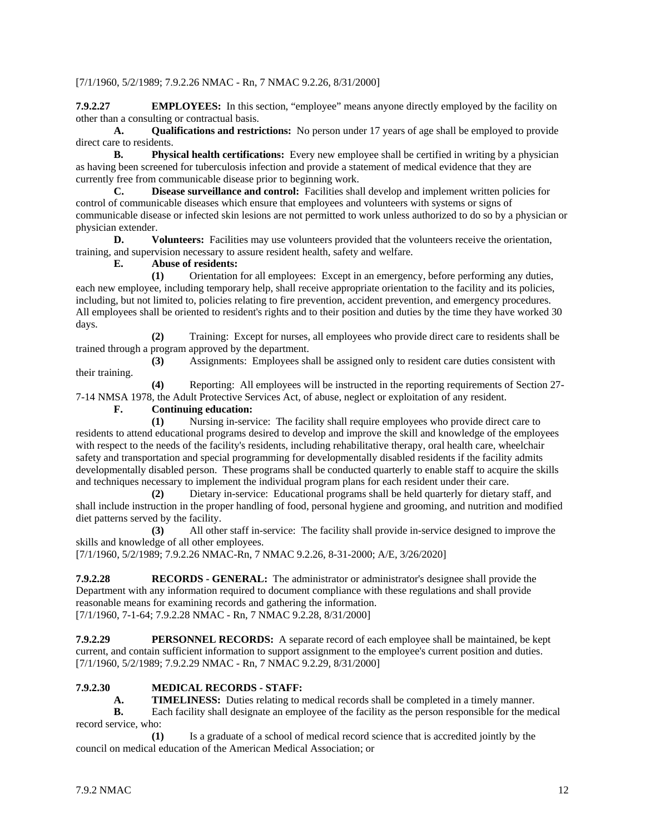#### [7/1/1960, 5/2/1989; 7.9.2.26 NMAC - Rn, 7 NMAC 9.2.26, 8/31/2000]

**7.9.2.27 EMPLOYEES:** In this section, "employee" means anyone directly employed by the facility on other than a consulting or contractual basis.

**A. Qualifications and restrictions:** No person under 17 years of age shall be employed to provide direct care to residents.

**B. Physical health certifications:** Every new employee shall be certified in writing by a physician as having been screened for tuberculosis infection and provide a statement of medical evidence that they are currently free from communicable disease prior to beginning work.

**C. Disease surveillance and control:** Facilities shall develop and implement written policies for control of communicable diseases which ensure that employees and volunteers with systems or signs of communicable disease or infected skin lesions are not permitted to work unless authorized to do so by a physician or physician extender.

**D. Volunteers:** Facilities may use volunteers provided that the volunteers receive the orientation, training, and supervision necessary to assure resident health, safety and welfare.<br> **E.** Abuse of residents:

**E. Abuse of residents:**

**(1)** Orientation for all employees: Except in an emergency, before performing any duties, each new employee, including temporary help, shall receive appropriate orientation to the facility and its policies, including, but not limited to, policies relating to fire prevention, accident prevention, and emergency procedures. All employees shall be oriented to resident's rights and to their position and duties by the time they have worked 30 days.

**(2)** Training: Except for nurses, all employees who provide direct care to residents shall be trained through a program approved by the department.

**(3)** Assignments: Employees shall be assigned only to resident care duties consistent with their training.

**(4)** Reporting: All employees will be instructed in the reporting requirements of Section 27- 7-14 NMSA 1978, the Adult Protective Services Act, of abuse, neglect or exploitation of any resident.

**F. Continuing education:**

**(1)** Nursing in-service: The facility shall require employees who provide direct care to residents to attend educational programs desired to develop and improve the skill and knowledge of the employees with respect to the needs of the facility's residents, including rehabilitative therapy, oral health care, wheelchair safety and transportation and special programming for developmentally disabled residents if the facility admits developmentally disabled person. These programs shall be conducted quarterly to enable staff to acquire the skills and techniques necessary to implement the individual program plans for each resident under their care.

**(2)** Dietary in-service: Educational programs shall be held quarterly for dietary staff, and shall include instruction in the proper handling of food, personal hygiene and grooming, and nutrition and modified diet patterns served by the facility.

**(3)** All other staff in-service: The facility shall provide in-service designed to improve the skills and knowledge of all other employees.

[7/1/1960, 5/2/1989; 7.9.2.26 NMAC-Rn, 7 NMAC 9.2.26, 8-31-2000; A/E, 3/26/2020]

**7.9.2.28 RECORDS - GENERAL:** The administrator or administrator's designee shall provide the Department with any information required to document compliance with these regulations and shall provide reasonable means for examining records and gathering the information. [7/1/1960, 7-1-64; 7.9.2.28 NMAC - Rn, 7 NMAC 9.2.28, 8/31/2000]

**7.9.2.29 PERSONNEL RECORDS:** A separate record of each employee shall be maintained, be kept current, and contain sufficient information to support assignment to the employee's current position and duties. [7/1/1960, 5/2/1989; 7.9.2.29 NMAC - Rn, 7 NMAC 9.2.29, 8/31/2000]

#### **7.9.2.30 MEDICAL RECORDS - STAFF:**

**A. TIMELINESS:** Duties relating to medical records shall be completed in a timely manner.

**B.** Each facility shall designate an employee of the facility as the person responsible for the medical record service, who:

**(1)** Is a graduate of a school of medical record science that is accredited jointly by the council on medical education of the American Medical Association; or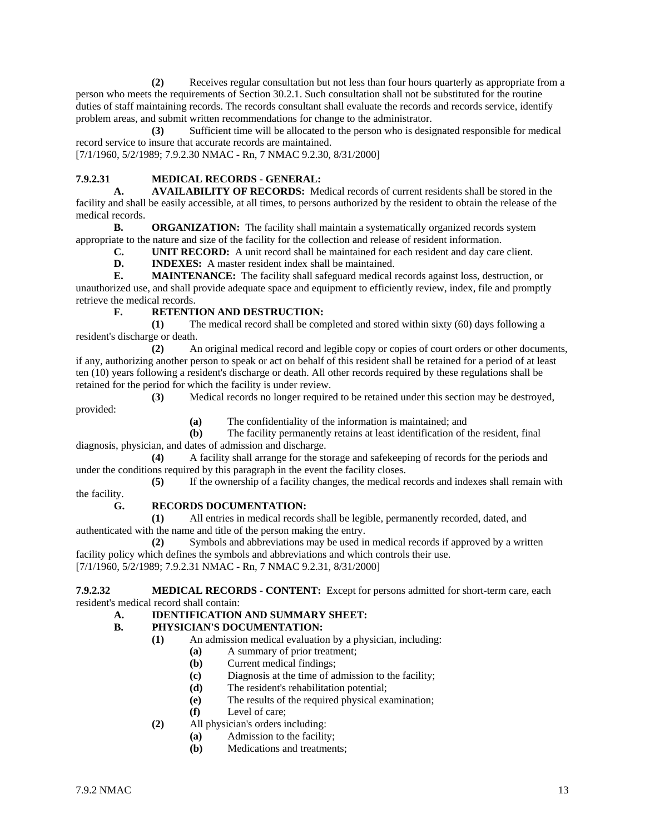**(2)** Receives regular consultation but not less than four hours quarterly as appropriate from a person who meets the requirements of Section 30.2.1. Such consultation shall not be substituted for the routine duties of staff maintaining records. The records consultant shall evaluate the records and records service, identify problem areas, and submit written recommendations for change to the administrator.

**(3)** Sufficient time will be allocated to the person who is designated responsible for medical record service to insure that accurate records are maintained.

[7/1/1960, 5/2/1989; 7.9.2.30 NMAC - Rn, 7 NMAC 9.2.30, 8/31/2000]

#### **7.9.2.31 MEDICAL RECORDS - GENERAL:**

**A. AVAILABILITY OF RECORDS:** Medical records of current residents shall be stored in the facility and shall be easily accessible, at all times, to persons authorized by the resident to obtain the release of the medical records.<br>**B**.

**ORGANIZATION:** The facility shall maintain a systematically organized records system appropriate to the nature and size of the facility for the collection and release of resident information.

**C. UNIT RECORD:** A unit record shall be maintained for each resident and day care client.<br>**D. INDEXES:** A master resident index shall be maintained.

**INDEXES:** A master resident index shall be maintained.

**E. MAINTENANCE:** The facility shall safeguard medical records against loss, destruction, or unauthorized use, and shall provide adequate space and equipment to efficiently review, index, file and promptly retrieve the medical records.

#### **F. RETENTION AND DESTRUCTION:**

**(1)** The medical record shall be completed and stored within sixty (60) days following a resident's discharge or death.

**(2)** An original medical record and legible copy or copies of court orders or other documents, if any, authorizing another person to speak or act on behalf of this resident shall be retained for a period of at least ten (10) years following a resident's discharge or death. All other records required by these regulations shall be retained for the period for which the facility is under review.

**(3)** Medical records no longer required to be retained under this section may be destroyed, provided:

**(a)** The confidentiality of the information is maintained; and **(b)** The facility permanently retains at least identification of t

The facility permanently retains at least identification of the resident, final diagnosis, physician, and dates of admission and discharge.

**(4)** A facility shall arrange for the storage and safekeeping of records for the periods and under the conditions required by this paragraph in the event the facility closes.

**(5)** If the ownership of a facility changes, the medical records and indexes shall remain with the facility.

#### **G. RECORDS DOCUMENTATION:**

**(1)** All entries in medical records shall be legible, permanently recorded, dated, and authenticated with the name and title of the person making the entry.

**(2)** Symbols and abbreviations may be used in medical records if approved by a written facility policy which defines the symbols and abbreviations and which controls their use. [7/1/1960, 5/2/1989; 7.9.2.31 NMAC - Rn, 7 NMAC 9.2.31, 8/31/2000]

**7.9.2.32 MEDICAL RECORDS - CONTENT:** Except for persons admitted for short-term care, each resident's medical record shall contain:

#### **A. IDENTIFICATION AND SUMMARY SHEET:**

#### **B. PHYSICIAN'S DOCUMENTATION:**

- **(1)** An admission medical evaluation by a physician, including:
	- **(a)** A summary of prior treatment;
		- **(b)** Current medical findings;
		- **(c)** Diagnosis at the time of admission to the facility;
		- **(d)** The resident's rehabilitation potential;
		- **(e)** The results of the required physical examination;
		- **(f)** Level of care;
- **(2)** All physician's orders including:
	- **(a)** Admission to the facility;
	- **(b)** Medications and treatments;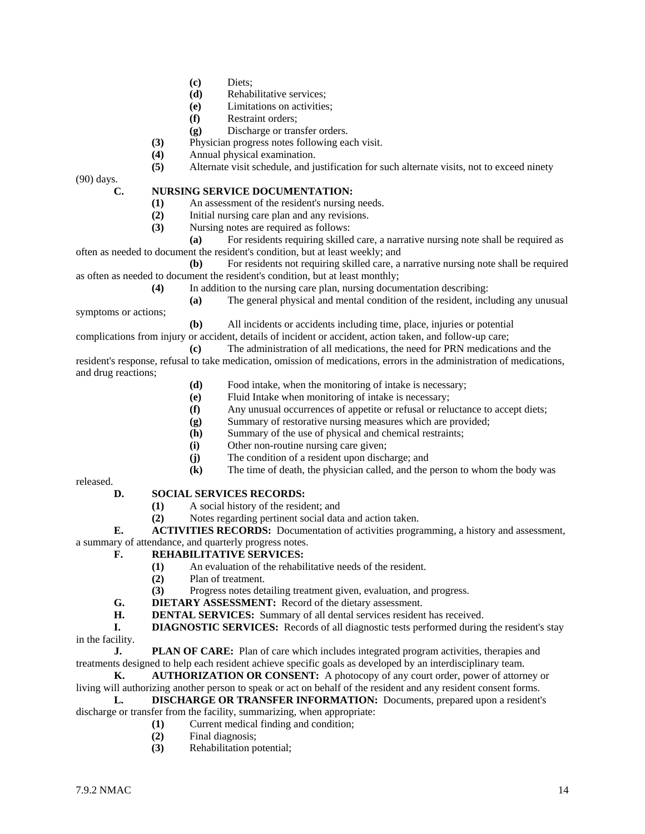- **(c)** Diets;
- **(d)** Rehabilitative services;
- **(e)** Limitations on activities;
- **(f)** Restraint orders;
- **(g)** Discharge or transfer orders.
- **(3)** Physician progress notes following each visit.
- **(4)** Annual physical examination.

**(5)** Alternate visit schedule, and justification for such alternate visits, not to exceed ninety

(90) days.

#### **C. NURSING SERVICE DOCUMENTATION:**

- **(1)** An assessment of the resident's nursing needs.
- **(2)** Initial nursing care plan and any revisions.<br>**(3)** Nursing notes are required as follows:
	- **(3)** Nursing notes are required as follows:

**(a)** For residents requiring skilled care, a narrative nursing note shall be required as often as needed to document the resident's condition, but at least weekly; and

- **(b)** For residents not requiring skilled care, a narrative nursing note shall be required as often as needed to document the resident's condition, but at least monthly;
	- **(4)** In addition to the nursing care plan, nursing documentation describing:
- **(a)** The general physical and mental condition of the resident, including any unusual symptoms or actions;
	- **(b)** All incidents or accidents including time, place, injuries or potential

complications from injury or accident, details of incident or accident, action taken, and follow-up care;

- **(c)** The administration of all medications, the need for PRN medications and the resident's response, refusal to take medication, omission of medications, errors in the administration of medications, and drug reactions;
	- **(d)** Food intake, when the monitoring of intake is necessary;
	- **(e)** Fluid Intake when monitoring of intake is necessary;
	- **(f)** Any unusual occurrences of appetite or refusal or reluctance to accept diets;
	- **(g)** Summary of restorative nursing measures which are provided;
	- **(h)** Summary of the use of physical and chemical restraints;
	- **(i)** Other non-routine nursing care given;
	- **(j)** The condition of a resident upon discharge; and
	- **(k)** The time of death, the physician called, and the person to whom the body was

released.

#### **D. SOCIAL SERVICES RECORDS:**

- **(1)** A social history of the resident; and
- **(2)** Notes regarding pertinent social data and action taken.

**E. ACTIVITIES RECORDS:** Documentation of activities programming, a history and assessment, a summary of attendance, and quarterly progress notes.

#### **F. REHABILITATIVE SERVICES:**

- **(1)** An evaluation of the rehabilitative needs of the resident.<br>**(2)** Plan of treatment.
- **(2)** Plan of treatment.
- **(3)** Progress notes detailing treatment given, evaluation, and progress.
- **G. DIETARY ASSESSMENT:** Record of the dietary assessment.<br>**H. DENTAL SERVICES:** Summary of all dental services resident
- **DENTAL SERVICES:** Summary of all dental services resident has received.
- **I. DIAGNOSTIC SERVICES:** Records of all diagnostic tests performed during the resident's stay in the facility.

**J. PLAN OF CARE:** Plan of care which includes integrated program activities, therapies and treatments designed to help each resident achieve specific goals as developed by an interdisciplinary team.

**K. AUTHORIZATION OR CONSENT:** A photocopy of any court order, power of attorney or living will authorizing another person to speak or act on behalf of the resident and any resident consent forms.

**L. DISCHARGE OR TRANSFER INFORMATION:** Documents, prepared upon a resident's discharge or transfer from the facility, summarizing, when appropriate:

- **(1)** Current medical finding and condition;
	- **(2)** Final diagnosis;
	- **(3)** Rehabilitation potential;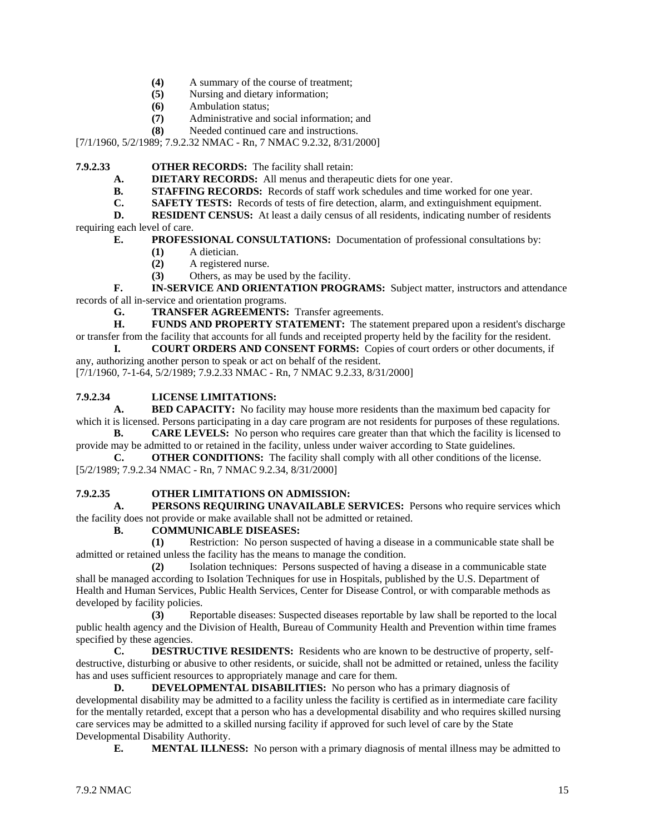- **(4)** A summary of the course of treatment;
- **(5)** Nursing and dietary information;
- **(6)** Ambulation status;
- **(7)** Administrative and social information; and
- **(8)** Needed continued care and instructions.

[7/1/1960, 5/2/1989; 7.9.2.32 NMAC - Rn, 7 NMAC 9.2.32, 8/31/2000]

**7.9.2.33 OTHER RECORDS:** The facility shall retain:

**A. DIETARY RECORDS:** All menus and therapeutic diets for one year.<br>**B. STAFFING RECORDS:** Records of staff work schedules and time work

**STAFFING RECORDS:** Records of staff work schedules and time worked for one year.

**C. SAFETY TESTS:** Records of tests of fire detection, alarm, and extinguishment equipment.

**D. RESIDENT CENSUS:** At least a daily census of all residents, indicating number of residents requiring each level of care.

**E. PROFESSIONAL CONSULTATIONS:** Documentation of professional consultations by:

- **(1)** A dietician.
- **(2)** A registered nurse.
- **(3)** Others, as may be used by the facility.

**F. IN-SERVICE AND ORIENTATION PROGRAMS:** Subject matter, instructors and attendance records of all in-service and orientation programs.

**G. TRANSFER AGREEMENTS:** Transfer agreements.<br>**H. FUNDS AND PROPERTY STATEMENT:** The state

FUNDS AND PROPERTY STATEMENT: The statement prepared upon a resident's discharge or transfer from the facility that accounts for all funds and receipted property held by the facility for the resident.

**I. COURT ORDERS AND CONSENT FORMS:** Copies of court orders or other documents, if any, authorizing another person to speak or act on behalf of the resident.

[7/1/1960, 7-1-64, 5/2/1989; 7.9.2.33 NMAC - Rn, 7 NMAC 9.2.33, 8/31/2000]

#### **7.9.2.34 LICENSE LIMITATIONS:**

**A. BED CAPACITY:** No facility may house more residents than the maximum bed capacity for which it is licensed. Persons participating in a day care program are not residents for purposes of these regulations.

**B. CARE LEVELS:** No person who requires care greater than that which the facility is licensed to provide may be admitted to or retained in the facility, unless under waiver according to State guidelines.

**C. OTHER CONDITIONS:** The facility shall comply with all other conditions of the license. [5/2/1989; 7.9.2.34 NMAC - Rn, 7 NMAC 9.2.34, 8/31/2000]

#### **7.9.2.35 OTHER LIMITATIONS ON ADMISSION:**

**A. PERSONS REQUIRING UNAVAILABLE SERVICES:** Persons who require services which the facility does not provide or make available shall not be admitted or retained.

**B. COMMUNICABLE DISEASES:**

**(1)** Restriction: No person suspected of having a disease in a communicable state shall be admitted or retained unless the facility has the means to manage the condition.

**(2)** Isolation techniques: Persons suspected of having a disease in a communicable state shall be managed according to Isolation Techniques for use in Hospitals, published by the U.S. Department of Health and Human Services, Public Health Services, Center for Disease Control, or with comparable methods as developed by facility policies.

**(3)** Reportable diseases: Suspected diseases reportable by law shall be reported to the local public health agency and the Division of Health, Bureau of Community Health and Prevention within time frames specified by these agencies.

**C. DESTRUCTIVE RESIDENTS:** Residents who are known to be destructive of property, selfdestructive, disturbing or abusive to other residents, or suicide, shall not be admitted or retained, unless the facility

has and uses sufficient resources to appropriately manage and care for them.<br>D. DEVELOPMENTAL DISABILITIES: No person who l **D. DEVELOPMENTAL DISABILITIES:** No person who has a primary diagnosis of developmental disability may be admitted to a facility unless the facility is certified as in intermediate care facility for the mentally retarded, except that a person who has a developmental disability and who requires skilled nursing care services may be admitted to a skilled nursing facility if approved for such level of care by the State Developmental Disability Authority.

**E. MENTAL ILLNESS:** No person with a primary diagnosis of mental illness may be admitted to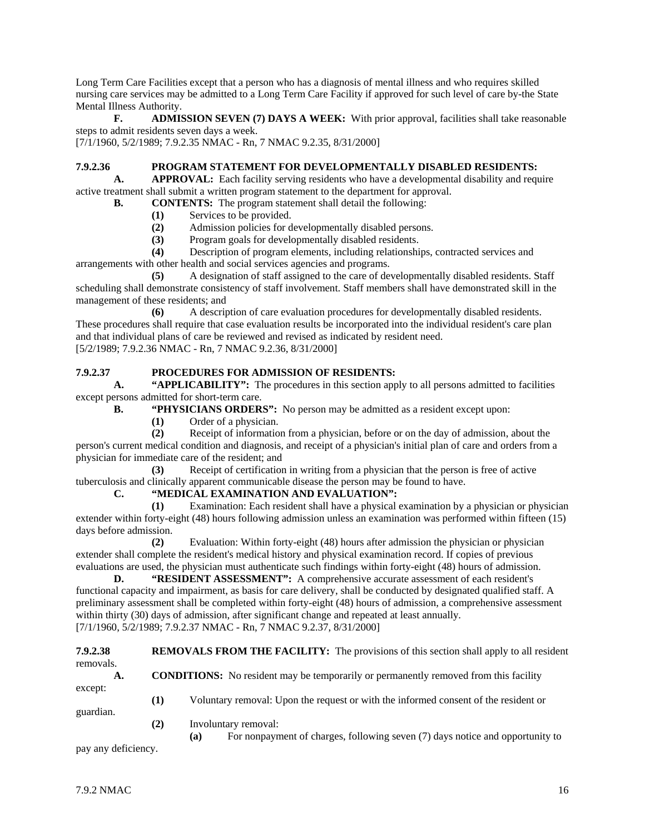Long Term Care Facilities except that a person who has a diagnosis of mental illness and who requires skilled nursing care services may be admitted to a Long Term Care Facility if approved for such level of care by-the State Mental Illness Authority.<br> **F.** ADMIS

**F. ADMISSION SEVEN (7) DAYS A WEEK:** With prior approval, facilities shall take reasonable steps to admit residents seven days a week.

[7/1/1960, 5/2/1989; 7.9.2.35 NMAC - Rn, 7 NMAC 9.2.35, 8/31/2000]

#### **7.9.2.36 PROGRAM STATEMENT FOR DEVELOPMENTALLY DISABLED RESIDENTS:**

**A. APPROVAL:** Each facility serving residents who have a developmental disability and require active treatment shall submit a written program statement to the department for approval.

- **B. CONTENTS:** The program statement shall detail the following:
	- (1) Services to be provided.<br>
	(2) Admission policies for d
	- **(2)** Admission policies for developmentally disabled persons.
	- **(3)** Program goals for developmentally disabled residents.

**(4)** Description of program elements, including relationships, contracted services and arrangements with other health and social services agencies and programs.

**(5)** A designation of staff assigned to the care of developmentally disabled residents. Staff scheduling shall demonstrate consistency of staff involvement. Staff members shall have demonstrated skill in the management of these residents; and

**(6)** A description of care evaluation procedures for developmentally disabled residents. These procedures shall require that case evaluation results be incorporated into the individual resident's care plan and that individual plans of care be reviewed and revised as indicated by resident need. [5/2/1989; 7.9.2.36 NMAC - Rn, 7 NMAC 9.2.36, 8/31/2000]

#### **7.9.2.37 PROCEDURES FOR ADMISSION OF RESIDENTS:**

**A. "APPLICABILITY":** The procedures in this section apply to all persons admitted to facilities except persons admitted for short-term care.

- **B. "PHYSICIANS ORDERS":** No person may be admitted as a resident except upon:
	- **(1)** Order of a physician.

**(2)** Receipt of information from a physician, before or on the day of admission, about the person's current medical condition and diagnosis, and receipt of a physician's initial plan of care and orders from a physician for immediate care of the resident; and

**(3)** Receipt of certification in writing from a physician that the person is free of active tuberculosis and clinically apparent communicable disease the person may be found to have.

#### **C. "MEDICAL EXAMINATION AND EVALUATION":**

**(1)** Examination: Each resident shall have a physical examination by a physician or physician extender within forty-eight (48) hours following admission unless an examination was performed within fifteen (15) days before admission.

**(2)** Evaluation: Within forty-eight (48) hours after admission the physician or physician extender shall complete the resident's medical history and physical examination record. If copies of previous evaluations are used, the physician must authenticate such findings within forty-eight (48) hours of admission.

**D. "RESIDENT ASSESSMENT":** A comprehensive accurate assessment of each resident's functional capacity and impairment, as basis for care delivery, shall be conducted by designated qualified staff. A preliminary assessment shall be completed within forty-eight (48) hours of admission, a comprehensive assessment within thirty (30) days of admission, after significant change and repeated at least annually. [7/1/1960, 5/2/1989; 7.9.2.37 NMAC - Rn, 7 NMAC 9.2.37, 8/31/2000]

**7.9.2.38 REMOVALS FROM THE FACILITY:** The provisions of this section shall apply to all resident removals. A. **CONDITIONS:** No resident may be temporarily or permanently removed from this facility except: **(1)** Voluntary removal: Upon the request or with the informed consent of the resident or guardian. **(2)** Involuntary removal: **(a)** For nonpayment of charges, following seven (7) days notice and opportunity to

pay any deficiency.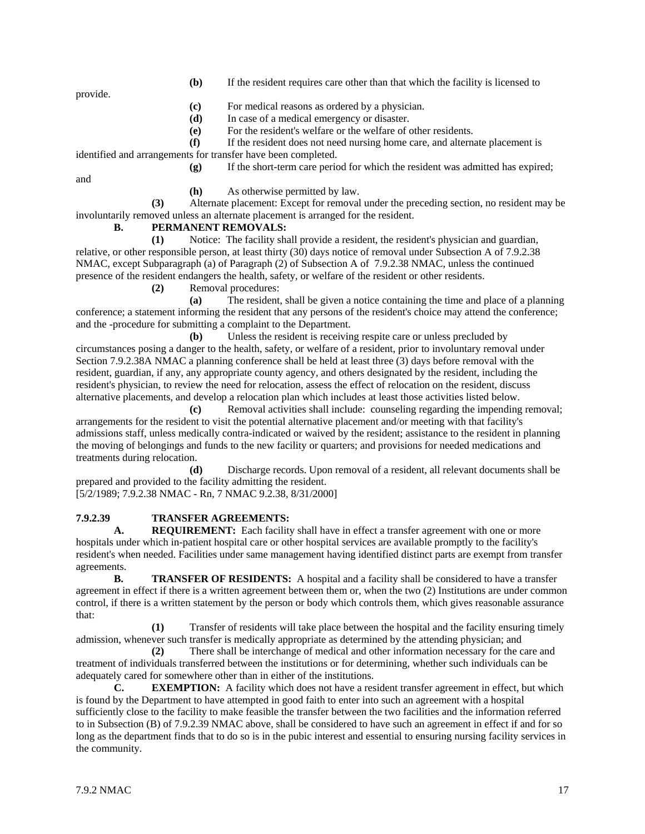**(b)** If the resident requires care other than that which the facility is licensed to

provide.

- **(c)** For medical reasons as ordered by a physician.
- **(d)** In case of a medical emergency or disaster.

**(e)** For the resident's welfare or the welfare of other residents.

**(f)** If the resident does not need nursing home care, and alternate placement is

identified and arrangements for transfer have been completed.

**(g)** If the short-term care period for which the resident was admitted has expired;

and

**(h)** As otherwise permitted by law.

**(3)** Alternate placement: Except for removal under the preceding section, no resident may be involuntarily removed unless an alternate placement is arranged for the resident.<br> **B.** PERMANENT REMOVALS:

#### **B. PERMANENT REMOVALS:**

**(1)** Notice: The facility shall provide a resident, the resident's physician and guardian, relative, or other responsible person, at least thirty (30) days notice of removal under Subsection A of 7.9.2.38 NMAC, except Subparagraph (a) of Paragraph (2) of Subsection A of 7.9.2.38 NMAC, unless the continued presence of the resident endangers the health, safety, or welfare of the resident or other residents.

**(2)** Removal procedures:

**(a)** The resident, shall be given a notice containing the time and place of a planning conference; a statement informing the resident that any persons of the resident's choice may attend the conference; and the -procedure for submitting a complaint to the Department.

**(b)** Unless the resident is receiving respite care or unless precluded by circumstances posing a danger to the health, safety, or welfare of a resident, prior to involuntary removal under Section 7.9.2.38A NMAC a planning conference shall be held at least three (3) days before removal with the resident, guardian, if any, any appropriate county agency, and others designated by the resident, including the resident's physician, to review the need for relocation, assess the effect of relocation on the resident, discuss alternative placements, and develop a relocation plan which includes at least those activities listed below.

**(c)** Removal activities shall include: counseling regarding the impending removal; arrangements for the resident to visit the potential alternative placement and/or meeting with that facility's admissions staff, unless medically contra-indicated or waived by the resident; assistance to the resident in planning the moving of belongings and funds to the new facility or quarters; and provisions for needed medications and treatments during relocation.

**(d)** Discharge records. Upon removal of a resident, all relevant documents shall be prepared and provided to the facility admitting the resident. [5/2/1989; 7.9.2.38 NMAC - Rn, 7 NMAC 9.2.38, 8/31/2000]

## **7.9.2.39 TRANSFER AGREEMENTS:**

**A. REQUIREMENT:** Each facility shall have in effect a transfer agreement with one or more hospitals under which in-patient hospital care or other hospital services are available promptly to the facility's resident's when needed. Facilities under same management having identified distinct parts are exempt from transfer agreements.

**B. TRANSFER OF RESIDENTS:** A hospital and a facility shall be considered to have a transfer agreement in effect if there is a written agreement between them or, when the two (2) Institutions are under common control, if there is a written statement by the person or body which controls them, which gives reasonable assurance that:

**(1)** Transfer of residents will take place between the hospital and the facility ensuring timely admission, whenever such transfer is medically appropriate as determined by the attending physician; and

**(2)** There shall be interchange of medical and other information necessary for the care and treatment of individuals transferred between the institutions or for determining, whether such individuals can be adequately cared for somewhere other than in either of the institutions.

**C. EXEMPTION:** A facility which does not have a resident transfer agreement in effect, but which is found by the Department to have attempted in good faith to enter into such an agreement with a hospital sufficiently close to the facility to make feasible the transfer between the two facilities and the information referred to in Subsection (B) of 7.9.2.39 NMAC above, shall be considered to have such an agreement in effect if and for so long as the department finds that to do so is in the pubic interest and essential to ensuring nursing facility services in the community.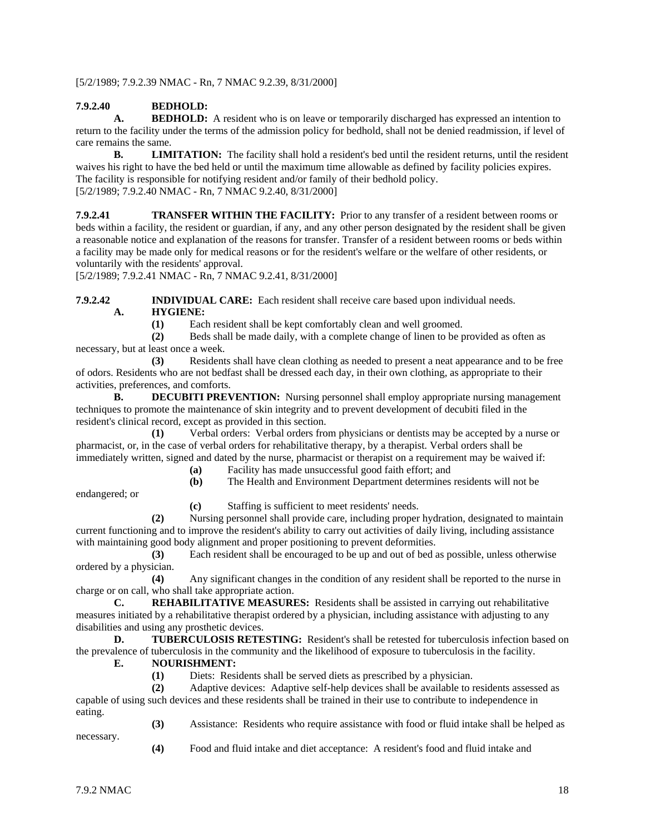[5/2/1989; 7.9.2.39 NMAC - Rn, 7 NMAC 9.2.39, 8/31/2000]

# **7.9.2.40 BEDHOLD:**

**BEDHOLD:** A resident who is on leave or temporarily discharged has expressed an intention to return to the facility under the terms of the admission policy for bedhold, shall not be denied readmission, if level of care remains the same.

**B. LIMITATION:** The facility shall hold a resident's bed until the resident returns, until the resident waives his right to have the bed held or until the maximum time allowable as defined by facility policies expires. The facility is responsible for notifying resident and/or family of their bedhold policy. [5/2/1989; 7.9.2.40 NMAC - Rn, 7 NMAC 9.2.40, 8/31/2000]

**7.9.2.41 TRANSFER WITHIN THE FACILITY:** Prior to any transfer of a resident between rooms or beds within a facility, the resident or guardian, if any, and any other person designated by the resident shall be given a reasonable notice and explanation of the reasons for transfer. Transfer of a resident between rooms or beds within a facility may be made only for medical reasons or for the resident's welfare or the welfare of other residents, or voluntarily with the residents' approval.

[5/2/1989; 7.9.2.41 NMAC - Rn, 7 NMAC 9.2.41, 8/31/2000]

**7.9.2.42 INDIVIDUAL CARE:** Each resident shall receive care based upon individual needs. **A. HYGIENE:**<br>(1) **Eac** 

Each resident shall be kept comfortably clean and well groomed.

**(2)** Beds shall be made daily, with a complete change of linen to be provided as often as necessary, but at least once a week.

**(3)** Residents shall have clean clothing as needed to present a neat appearance and to be free of odors. Residents who are not bedfast shall be dressed each day, in their own clothing, as appropriate to their activities, preferences, and comforts.

**B. DECUBITI PREVENTION:** Nursing personnel shall employ appropriate nursing management techniques to promote the maintenance of skin integrity and to prevent development of decubiti filed in the resident's clinical record, except as provided in this section.

**(1)** Verbal orders: Verbal orders from physicians or dentists may be accepted by a nurse or pharmacist, or, in the case of verbal orders for rehabilitative therapy, by a therapist. Verbal orders shall be immediately written, signed and dated by the nurse, pharmacist or therapist on a requirement may be waived if:

**(a)** Facility has made unsuccessful good faith effort; and

**(b)** The Health and Environment Department determines residents will not be

endangered; or

**(c)** Staffing is sufficient to meet residents' needs.

**(2)** Nursing personnel shall provide care, including proper hydration, designated to maintain current functioning and to improve the resident's ability to carry out activities of daily living, including assistance with maintaining good body alignment and proper positioning to prevent deformities.

**(3)** Each resident shall be encouraged to be up and out of bed as possible, unless otherwise ordered by a physician.

**(4)** Any significant changes in the condition of any resident shall be reported to the nurse in charge or on call, who shall take appropriate action.

**C. REHABILITATIVE MEASURES:** Residents shall be assisted in carrying out rehabilitative measures initiated by a rehabilitative therapist ordered by a physician, including assistance with adjusting to any disabilities and using any prosthetic devices.

**D. TUBERCULOSIS RETESTING:** Resident's shall be retested for tuberculosis infection based on the prevalence of tuberculosis in the community and the likelihood of exposure to tuberculosis in the facility.

#### **E. NOURISHMENT:**

**(1)** Diets: Residents shall be served diets as prescribed by a physician.

**(2)** Adaptive devices: Adaptive self-help devices shall be available to residents assessed as

capable of using such devices and these residents shall be trained in their use to contribute to independence in eating. **(3)** Assistance: Residents who require assistance with food or fluid intake shall be helped as

- necessary.
- **(4)** Food and fluid intake and diet acceptance: A resident's food and fluid intake and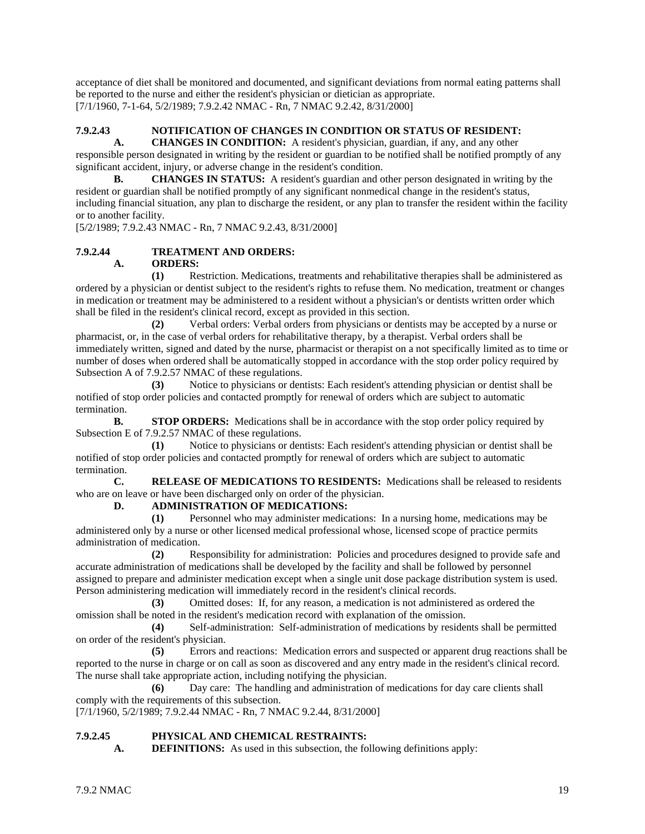acceptance of diet shall be monitored and documented, and significant deviations from normal eating patterns shall be reported to the nurse and either the resident's physician or dietician as appropriate. [7/1/1960, 7-1-64, 5/2/1989; 7.9.2.42 NMAC - Rn, 7 NMAC 9.2.42, 8/31/2000]

## **7.9.2.43 NOTIFICATION OF CHANGES IN CONDITION OR STATUS OF RESIDENT:**

**A. CHANGES IN CONDITION:** A resident's physician, guardian, if any, and any other responsible person designated in writing by the resident or guardian to be notified shall be notified promptly of any significant accident, injury, or adverse change in the resident's condition.

**B. CHANGES IN STATUS:** A resident's guardian and other person designated in writing by the resident or guardian shall be notified promptly of any significant nonmedical change in the resident's status, including financial situation, any plan to discharge the resident, or any plan to transfer the resident within the facility or to another facility.

[5/2/1989; 7.9.2.43 NMAC - Rn, 7 NMAC 9.2.43, 8/31/2000]

#### **7.9.2.44 TREATMENT AND ORDERS: A. ORDERS:**

**(1)** Restriction. Medications, treatments and rehabilitative therapies shall be administered as ordered by a physician or dentist subject to the resident's rights to refuse them. No medication, treatment or changes in medication or treatment may be administered to a resident without a physician's or dentists written order which shall be filed in the resident's clinical record, except as provided in this section.

**(2)** Verbal orders: Verbal orders from physicians or dentists may be accepted by a nurse or pharmacist, or, in the case of verbal orders for rehabilitative therapy, by a therapist. Verbal orders shall be immediately written, signed and dated by the nurse, pharmacist or therapist on a not specifically limited as to time or number of doses when ordered shall be automatically stopped in accordance with the stop order policy required by Subsection A of 7.9.2.57 NMAC of these regulations.

**(3)** Notice to physicians or dentists: Each resident's attending physician or dentist shall be notified of stop order policies and contacted promptly for renewal of orders which are subject to automatic termination.

**B. STOP ORDERS:** Medications shall be in accordance with the stop order policy required by Subsection E of 7.9.2.57 NMAC of these regulations.

**(1)** Notice to physicians or dentists: Each resident's attending physician or dentist shall be notified of stop order policies and contacted promptly for renewal of orders which are subject to automatic termination.

**C. RELEASE OF MEDICATIONS TO RESIDENTS:** Medications shall be released to residents who are on leave or have been discharged only on order of the physician.

#### **D. ADMINISTRATION OF MEDICATIONS:**

**(1)** Personnel who may administer medications: In a nursing home, medications may be administered only by a nurse or other licensed medical professional whose, licensed scope of practice permits administration of medication.

**(2)** Responsibility for administration: Policies and procedures designed to provide safe and accurate administration of medications shall be developed by the facility and shall be followed by personnel assigned to prepare and administer medication except when a single unit dose package distribution system is used. Person administering medication will immediately record in the resident's clinical records.

**(3)** Omitted doses: If, for any reason, a medication is not administered as ordered the omission shall be noted in the resident's medication record with explanation of the omission.

**(4)** Self-administration: Self-administration of medications by residents shall be permitted on order of the resident's physician.

**(5)** Errors and reactions: Medication errors and suspected or apparent drug reactions shall be reported to the nurse in charge or on call as soon as discovered and any entry made in the resident's clinical record. The nurse shall take appropriate action, including notifying the physician.

**(6)** Day care: The handling and administration of medications for day care clients shall comply with the requirements of this subsection.

[7/1/1960, 5/2/1989; 7.9.2.44 NMAC - Rn, 7 NMAC 9.2.44, 8/31/2000]

#### **7.9.2.45 PHYSICAL AND CHEMICAL RESTRAINTS:**

**A. DEFINITIONS:** As used in this subsection, the following definitions apply: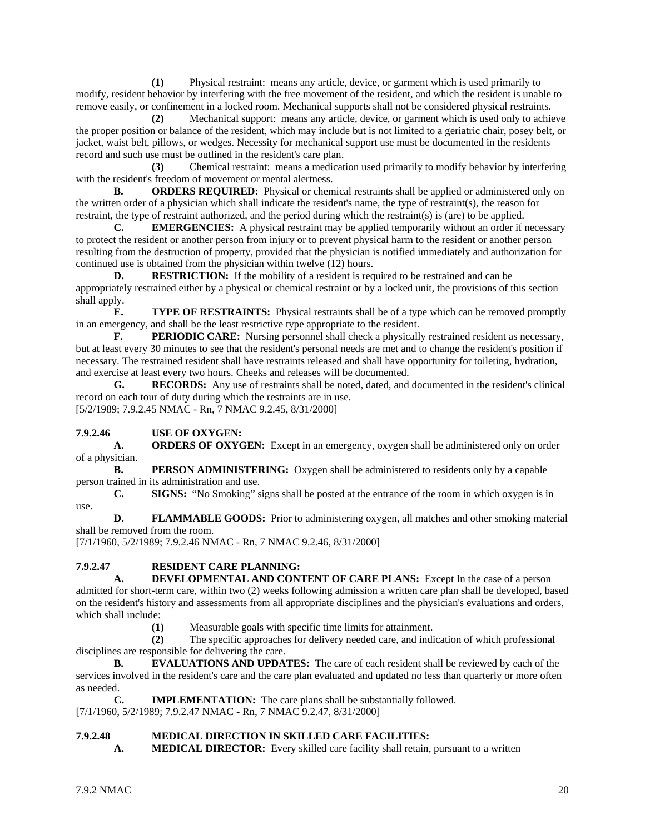**(1)** Physical restraint: means any article, device, or garment which is used primarily to modify, resident behavior by interfering with the free movement of the resident, and which the resident is unable to remove easily, or confinement in a locked room. Mechanical supports shall not be considered physical restraints.

**(2)** Mechanical support: means any article, device, or garment which is used only to achieve the proper position or balance of the resident, which may include but is not limited to a geriatric chair, posey belt, or jacket, waist belt, pillows, or wedges. Necessity for mechanical support use must be documented in the residents record and such use must be outlined in the resident's care plan.

**(3)** Chemical restraint: means a medication used primarily to modify behavior by interfering with the resident's freedom of movement or mental alertness.

**B. ORDERS REQUIRED:** Physical or chemical restraints shall be applied or administered only on the written order of a physician which shall indicate the resident's name, the type of restraint(s), the reason for restraint, the type of restraint authorized, and the period during which the restraint(s) is (are) to be applied.<br> **C.** EMERGENCIES: A physical restraint may be applied temporarily without an order if r

**EMERGENCIES:** A physical restraint may be applied temporarily without an order if necessary to protect the resident or another person from injury or to prevent physical harm to the resident or another person resulting from the destruction of property, provided that the physician is notified immediately and authorization for continued use is obtained from the physician within twelve (12) hours.

**D. RESTRICTION:** If the mobility of a resident is required to be restrained and can be appropriately restrained either by a physical or chemical restraint or by a locked unit, the provisions of this section shall apply.

**E. TYPE OF RESTRAINTS:** Physical restraints shall be of a type which can be removed promptly in an emergency, and shall be the least restrictive type appropriate to the resident.

**F. PERIODIC CARE:** Nursing personnel shall check a physically restrained resident as necessary, but at least every 30 minutes to see that the resident's personal needs are met and to change the resident's position if necessary. The restrained resident shall have restraints released and shall have opportunity for toileting, hydration, and exercise at least every two hours. Cheeks and releases will be documented.

**G. RECORDS:** Any use of restraints shall be noted, dated, and documented in the resident's clinical record on each tour of duty during which the restraints are in use. [5/2/1989; 7.9.2.45 NMAC - Rn, 7 NMAC 9.2.45, 8/31/2000]

#### **7.9.2.46 USE OF OXYGEN:**

**A. ORDERS OF OXYGEN:** Except in an emergency, oxygen shall be administered only on order of a physician.

**B. PERSON ADMINISTERING:** Oxygen shall be administered to residents only by a capable person trained in its administration and use.

**C. SIGNS:** "No Smoking" signs shall be posted at the entrance of the room in which oxygen is in use.

**D. FLAMMABLE GOODS:** Prior to administering oxygen, all matches and other smoking material shall be removed from the room.

[7/1/1960, 5/2/1989; 7.9.2.46 NMAC - Rn, 7 NMAC 9.2.46, 8/31/2000]

# **7.9.2.47 RESIDENT CARE PLANNING:**

**DEVELOPMENTAL AND CONTENT OF CARE PLANS:** Except In the case of a person admitted for short-term care, within two (2) weeks following admission a written care plan shall be developed, based on the resident's history and assessments from all appropriate disciplines and the physician's evaluations and orders, which shall include:

**(1)** Measurable goals with specific time limits for attainment.

**(2)** The specific approaches for delivery needed care, and indication of which professional disciplines are responsible for delivering the care.

**B. EVALUATIONS AND UPDATES:** The care of each resident shall be reviewed by each of the services involved in the resident's care and the care plan evaluated and updated no less than quarterly or more often as needed.

**C. IMPLEMENTATION:** The care plans shall be substantially followed. [7/1/1960, 5/2/1989; 7.9.2.47 NMAC - Rn, 7 NMAC 9.2.47, 8/31/2000]

#### **7.9.2.48 MEDICAL DIRECTION IN SKILLED CARE FACILITIES:**

**A. MEDICAL DIRECTOR:** Every skilled care facility shall retain, pursuant to a written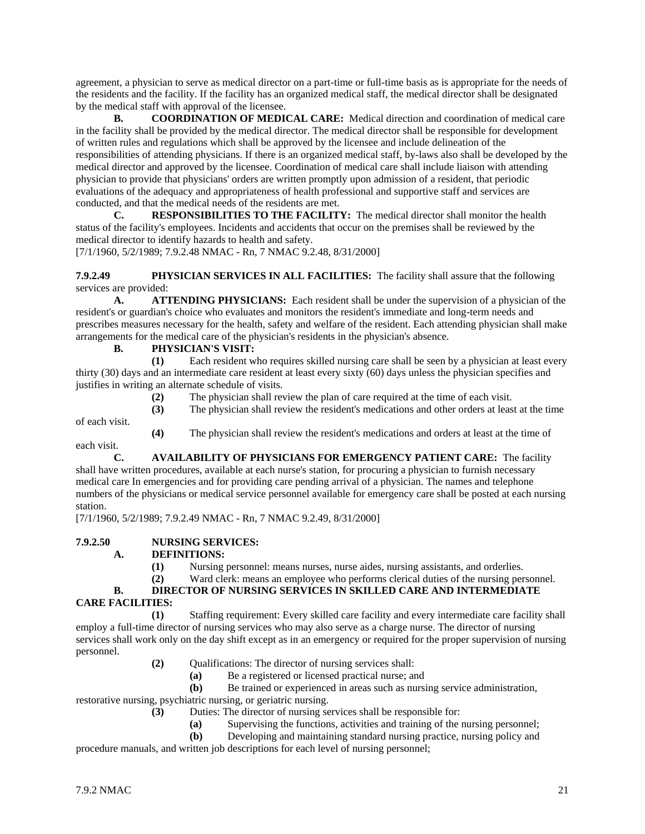agreement, a physician to serve as medical director on a part-time or full-time basis as is appropriate for the needs of the residents and the facility. If the facility has an organized medical staff, the medical director shall be designated by the medical staff with approval of the licensee.

**B. COORDINATION OF MEDICAL CARE:** Medical direction and coordination of medical care in the facility shall be provided by the medical director. The medical director shall be responsible for development of written rules and regulations which shall be approved by the licensee and include delineation of the responsibilities of attending physicians. If there is an organized medical staff, by-laws also shall be developed by the medical director and approved by the licensee. Coordination of medical care shall include liaison with attending physician to provide that physicians' orders are written promptly upon admission of a resident, that periodic evaluations of the adequacy and appropriateness of health professional and supportive staff and services are conducted, and that the medical needs of the residents are met.

**C. RESPONSIBILITIES TO THE FACILITY:** The medical director shall monitor the health status of the facility's employees. Incidents and accidents that occur on the premises shall be reviewed by the medical director to identify hazards to health and safety.

[7/1/1960, 5/2/1989; 7.9.2.48 NMAC - Rn, 7 NMAC 9.2.48, 8/31/2000]

**7.9.2.49 PHYSICIAN SERVICES IN ALL FACILITIES:** The facility shall assure that the following services are provided:

**A. ATTENDING PHYSICIANS:** Each resident shall be under the supervision of a physician of the resident's or guardian's choice who evaluates and monitors the resident's immediate and long-term needs and prescribes measures necessary for the health, safety and welfare of the resident. Each attending physician shall make arrangements for the medical care of the physician's residents in the physician's absence.

### **B. PHYSICIAN'S VISIT:**

**(1)** Each resident who requires skilled nursing care shall be seen by a physician at least every thirty (30) days and an intermediate care resident at least every sixty (60) days unless the physician specifies and justifies in writing an alternate schedule of visits.

**(2)** The physician shall review the plan of care required at the time of each visit.

**(3)** The physician shall review the resident's medications and other orders at least at the time of each visit.

**(4)** The physician shall review the resident's medications and orders at least at the time of each visit.

**C. AVAILABILITY OF PHYSICIANS FOR EMERGENCY PATIENT CARE:** The facility shall have written procedures, available at each nurse's station, for procuring a physician to furnish necessary medical care In emergencies and for providing care pending arrival of a physician. The names and telephone numbers of the physicians or medical service personnel available for emergency care shall be posted at each nursing station.

[7/1/1960, 5/2/1989; 7.9.2.49 NMAC - Rn, 7 NMAC 9.2.49, 8/31/2000]

#### **7.9.2.50 NURSING SERVICES:**

#### **A. DEFINITIONS:**

**(1)** Nursing personnel: means nurses, nurse aides, nursing assistants, and orderlies.

**(2)** Ward clerk: means an employee who performs clerical duties of the nursing personnel.

## **B. DIRECTOR OF NURSING SERVICES IN SKILLED CARE AND INTERMEDIATE**

## **CARE FACILITIES:**

**(1)** Staffing requirement: Every skilled care facility and every intermediate care facility shall employ a full-time director of nursing services who may also serve as a charge nurse. The director of nursing services shall work only on the day shift except as in an emergency or required for the proper supervision of nursing personnel.

- **(2)** Qualifications: The director of nursing services shall:
	- **(a)** Be a registered or licensed practical nurse; and

**(b)** Be trained or experienced in areas such as nursing service administration,

restorative nursing, psychiatric nursing, or geriatric nursing.

- **(3)** Duties: The director of nursing services shall be responsible for:
	- **(a)** Supervising the functions, activities and training of the nursing personnel;
	- **(b)** Developing and maintaining standard nursing practice, nursing policy and

procedure manuals, and written job descriptions for each level of nursing personnel;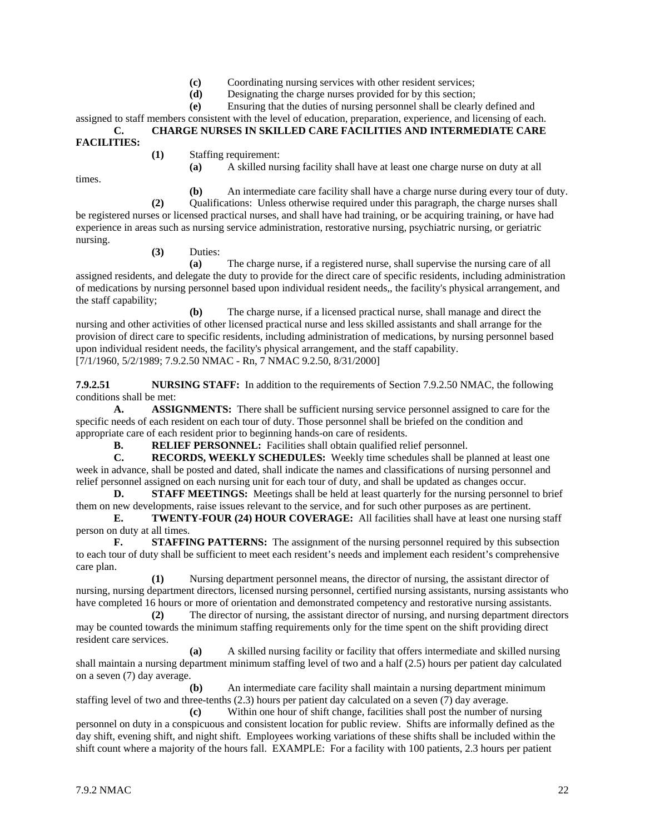- **(c)** Coordinating nursing services with other resident services;
- **(d)** Designating the charge nurses provided for by this section;

**(e)** Ensuring that the duties of nursing personnel shall be clearly defined and

assigned to staff members consistent with the level of education, preparation, experience, and licensing of each. **C. CHARGE NURSES IN SKILLED CARE FACILITIES AND INTERMEDIATE CARE FACILITIES:**

**(1)** Staffing requirement:

**(a)** A skilled nursing facility shall have at least one charge nurse on duty at all

times.

**(b)** An intermediate care facility shall have a charge nurse during every tour of duty.

**(2)** Qualifications: Unless otherwise required under this paragraph, the charge nurses shall be registered nurses or licensed practical nurses, and shall have had training, or be acquiring training, or have had experience in areas such as nursing service administration, restorative nursing, psychiatric nursing, or geriatric nursing.

**(3)** Duties:

**(a)** The charge nurse, if a registered nurse, shall supervise the nursing care of all assigned residents, and delegate the duty to provide for the direct care of specific residents, including administration of medications by nursing personnel based upon individual resident needs,, the facility's physical arrangement, and the staff capability;

**(b)** The charge nurse, if a licensed practical nurse, shall manage and direct the nursing and other activities of other licensed practical nurse and less skilled assistants and shall arrange for the provision of direct care to specific residents, including administration of medications, by nursing personnel based upon individual resident needs, the facility's physical arrangement, and the staff capability. [7/1/1960, 5/2/1989; 7.9.2.50 NMAC - Rn, 7 NMAC 9.2.50, 8/31/2000]

**7.9.2.51 NURSING STAFF:** In addition to the requirements of Section 7.9.2.50 NMAC, the following conditions shall be met:

**A. ASSIGNMENTS:** There shall be sufficient nursing service personnel assigned to care for the specific needs of each resident on each tour of duty. Those personnel shall be briefed on the condition and appropriate care of each resident prior to beginning hands-on care of residents.

**B. RELIEF PERSONNEL:** Facilities shall obtain qualified relief personnel.

**C. RECORDS, WEEKLY SCHEDULES:** Weekly time schedules shall be planned at least one week in advance, shall be posted and dated, shall indicate the names and classifications of nursing personnel and relief personnel assigned on each nursing unit for each tour of duty, and shall be updated as changes occur.

**D. STAFF MEETINGS:** Meetings shall be held at least quarterly for the nursing personnel to brief them on new developments, raise issues relevant to the service, and for such other purposes as are pertinent.

**E. TWENTY-FOUR (24) HOUR COVERAGE:** All facilities shall have at least one nursing staff person on duty at all times.

**F. STAFFING PATTERNS:** The assignment of the nursing personnel required by this subsection to each tour of duty shall be sufficient to meet each resident's needs and implement each resident's comprehensive care plan.

**(1)** Nursing department personnel means, the director of nursing, the assistant director of nursing, nursing department directors, licensed nursing personnel, certified nursing assistants, nursing assistants who have completed 16 hours or more of orientation and demonstrated competency and restorative nursing assistants.

**(2)** The director of nursing, the assistant director of nursing, and nursing department directors may be counted towards the minimum staffing requirements only for the time spent on the shift providing direct resident care services.

**(a)** A skilled nursing facility or facility that offers intermediate and skilled nursing shall maintain a nursing department minimum staffing level of two and a half (2.5) hours per patient day calculated on a seven (7) day average.

**(b)** An intermediate care facility shall maintain a nursing department minimum staffing level of two and three-tenths (2.3) hours per patient day calculated on a seven (7) day average.

**(c)** Within one hour of shift change, facilities shall post the number of nursing personnel on duty in a conspicuous and consistent location for public review. Shifts are informally defined as the day shift, evening shift, and night shift. Employees working variations of these shifts shall be included within the shift count where a majority of the hours fall. EXAMPLE: For a facility with 100 patients, 2.3 hours per patient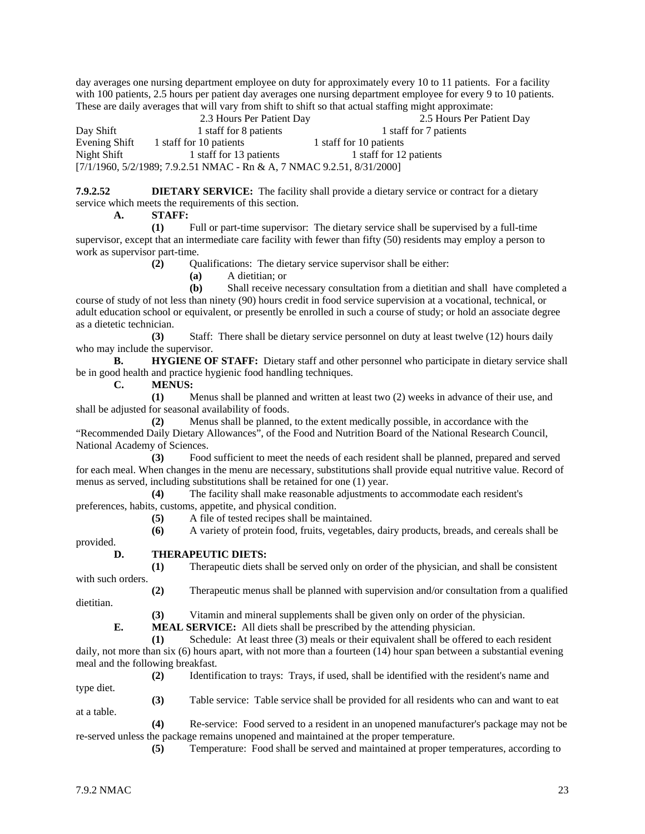day averages one nursing department employee on duty for approximately every 10 to 11 patients. For a facility with 100 patients, 2.5 hours per patient day averages one nursing department employee for every 9 to 10 patients. These are daily averages that will vary from shift to shift so that actual staffing might approximate:<br>2.3 Hours Per Patient Day<br>2.5 Hours Per Patient Day

 2.3 Hours Per Patient Day 2.5 Hours Per Patient Day Day Shift 1 staff for 8 patients 1 staff for 7 patients Evening Shift 1 staff for 10 patients 1 staff for 10 patients Night Shift 1 staff for 13 patients 1 staff for 12 patients [7/1/1960, 5/2/1989; 7.9.2.51 NMAC - Rn & A, 7 NMAC 9.2.51, 8/31/2000]

**7.9.2.52 DIETARY SERVICE:** The facility shall provide a dietary service or contract for a dietary service which meets the requirements of this section.

**A. STAFF:**

**(1)** Full or part-time supervisor: The dietary service shall be supervised by a full-time supervisor, except that an intermediate care facility with fewer than fifty (50) residents may employ a person to work as supervisor part-time.

**(2)** Qualifications: The dietary service supervisor shall be either:

**(a)** A dietitian; or

**(b)** Shall receive necessary consultation from a dietitian and shall have completed a course of study of not less than ninety (90) hours credit in food service supervision at a vocational, technical, or adult education school or equivalent, or presently be enrolled in such a course of study; or hold an associate degree as a dietetic technician.

**(3)** Staff: There shall be dietary service personnel on duty at least twelve (12) hours daily who may include the supervisor.

**B. HYGIENE OF STAFF:** Dietary staff and other personnel who participate in dietary service shall be in good health and practice hygienic food handling techniques.

**C. MENUS:**

**(1)** Menus shall be planned and written at least two (2) weeks in advance of their use, and shall be adjusted for seasonal availability of foods.

**(2)** Menus shall be planned, to the extent medically possible, in accordance with the "Recommended Daily Dietary Allowances", of the Food and Nutrition Board of the National Research Council, National Academy of Sciences.

**(3)** Food sufficient to meet the needs of each resident shall be planned, prepared and served for each meal. When changes in the menu are necessary, substitutions shall provide equal nutritive value. Record of menus as served, including substitutions shall be retained for one (1) year.

**(4)** The facility shall make reasonable adjustments to accommodate each resident's preferences, habits, customs, appetite, and physical condition.

**(5)** A file of tested recipes shall be maintained.

**(6)** A variety of protein food, fruits, vegetables, dairy products, breads, and cereals shall be

provided.

#### **D. THERAPEUTIC DIETS:**

**(1)** Therapeutic diets shall be served only on order of the physician, and shall be consistent with such orders.

**(2)** Therapeutic menus shall be planned with supervision and/or consultation from a qualified dietitian.

**(3)** Vitamin and mineral supplements shall be given only on order of the physician.

**E. MEAL SERVICE:** All diets shall be prescribed by the attending physician.

**(1)** Schedule: At least three (3) meals or their equivalent shall be offered to each resident daily, not more than six (6) hours apart, with not more than a fourteen (14) hour span between a substantial evening meal and the following breakfast.

**(2)** Identification to trays: Trays, if used, shall be identified with the resident's name and type diet.

**(3)** Table service: Table service shall be provided for all residents who can and want to eat at a table.

**(4)** Re-service: Food served to a resident in an unopened manufacturer's package may not be re-served unless the package remains unopened and maintained at the proper temperature.

**(5)** Temperature: Food shall be served and maintained at proper temperatures, according to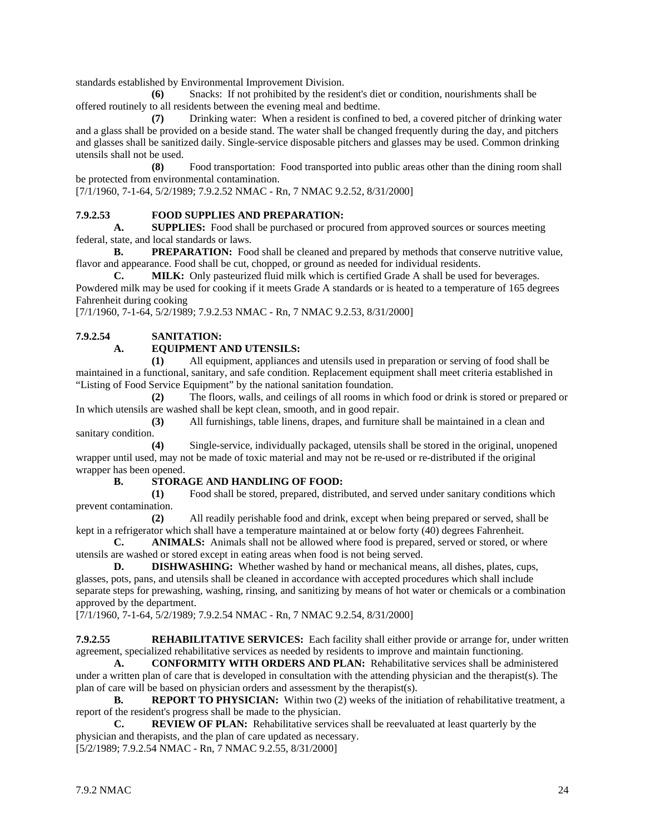standards established by Environmental Improvement Division.

**(6)** Snacks: If not prohibited by the resident's diet or condition, nourishments shall be offered routinely to all residents between the evening meal and bedtime.

**(7)** Drinking water: When a resident is confined to bed, a covered pitcher of drinking water and a glass shall be provided on a beside stand. The water shall be changed frequently during the day, and pitchers and glasses shall be sanitized daily. Single-service disposable pitchers and glasses may be used. Common drinking utensils shall not be used.

**(8)** Food transportation: Food transported into public areas other than the dining room shall be protected from environmental contamination.

[7/1/1960, 7-1-64, 5/2/1989; 7.9.2.52 NMAC - Rn, 7 NMAC 9.2.52, 8/31/2000]

#### **7.9.2.53 FOOD SUPPLIES AND PREPARATION:**

**A. SUPPLIES:** Food shall be purchased or procured from approved sources or sources meeting federal, state, and local standards or laws.

**B. PREPARATION:** Food shall be cleaned and prepared by methods that conserve nutritive value, flavor and appearance. Food shall be cut, chopped, or ground as needed for individual residents.

**C. MILK:** Only pasteurized fluid milk which is certified Grade A shall be used for beverages. Powdered milk may be used for cooking if it meets Grade A standards or is heated to a temperature of 165 degrees Fahrenheit during cooking

[7/1/1960, 7-1-64, 5/2/1989; 7.9.2.53 NMAC - Rn, 7 NMAC 9.2.53, 8/31/2000]

#### **7.9.2.54 SANITATION:**

#### **A. EQUIPMENT AND UTENSILS:**

**(1)** All equipment, appliances and utensils used in preparation or serving of food shall be maintained in a functional, sanitary, and safe condition. Replacement equipment shall meet criteria established in "Listing of Food Service Equipment" by the national sanitation foundation.

**(2)** The floors, walls, and ceilings of all rooms in which food or drink is stored or prepared or In which utensils are washed shall be kept clean, smooth, and in good repair.

**(3)** All furnishings, table linens, drapes, and furniture shall be maintained in a clean and sanitary condition.

**(4)** Single-service, individually packaged, utensils shall be stored in the original, unopened wrapper until used, may not be made of toxic material and may not be re-used or re-distributed if the original wrapper has been opened.

#### **B. STORAGE AND HANDLING OF FOOD:**

**(1)** Food shall be stored, prepared, distributed, and served under sanitary conditions which prevent contamination.

**(2)** All readily perishable food and drink, except when being prepared or served, shall be kept in a refrigerator which shall have a temperature maintained at or below forty (40) degrees Fahrenheit.

**C. ANIMALS:** Animals shall not be allowed where food is prepared, served or stored, or where utensils are washed or stored except in eating areas when food is not being served.

**D. DISHWASHING:** Whether washed by hand or mechanical means, all dishes, plates, cups, glasses, pots, pans, and utensils shall be cleaned in accordance with accepted procedures which shall include separate steps for prewashing, washing, rinsing, and sanitizing by means of hot water or chemicals or a combination approved by the department.

[7/1/1960, 7-1-64, 5/2/1989; 7.9.2.54 NMAC - Rn, 7 NMAC 9.2.54, 8/31/2000]

**7.9.2.55 REHABILITATIVE SERVICES:** Each facility shall either provide or arrange for, under written agreement, specialized rehabilitative services as needed by residents to improve and maintain functioning.

**A. CONFORMITY WITH ORDERS AND PLAN:** Rehabilitative services shall be administered under a written plan of care that is developed in consultation with the attending physician and the therapist(s). The plan of care will be based on physician orders and assessment by the therapist(s).

**B. REPORT TO PHYSICIAN:** Within two (2) weeks of the initiation of rehabilitative treatment, a report of the resident's progress shall be made to the physician.

**C. REVIEW OF PLAN:** Rehabilitative services shall be reevaluated at least quarterly by the physician and therapists, and the plan of care updated as necessary.

[5/2/1989; 7.9.2.54 NMAC - Rn, 7 NMAC 9.2.55, 8/31/2000]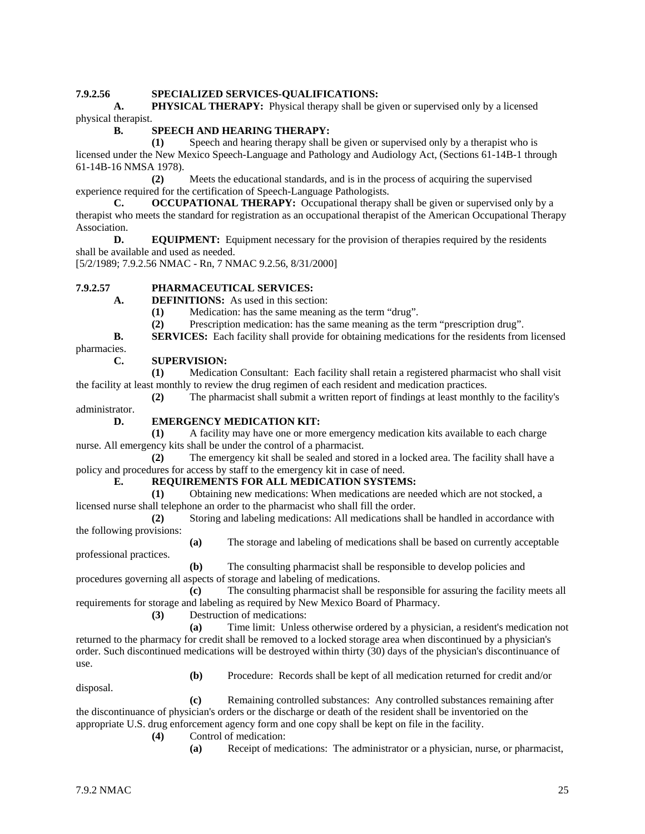#### **7.9.2.56 SPECIALIZED SERVICES-QUALIFICATIONS:**

**A. PHYSICAL THERAPY:** Physical therapy shall be given or supervised only by a licensed physical therapist.

#### **B. SPEECH AND HEARING THERAPY:**

**(1)** Speech and hearing therapy shall be given or supervised only by a therapist who is licensed under the New Mexico Speech-Language and Pathology and Audiology Act, (Sections 61-14B-1 through 61-14B-16 NMSA 1978).

**(2)** Meets the educational standards, and is in the process of acquiring the supervised experience required for the certification of Speech-Language Pathologists.

**C. OCCUPATIONAL THERAPY:** Occupational therapy shall be given or supervised only by a therapist who meets the standard for registration as an occupational therapist of the American Occupational Therapy Association.

**D. EQUIPMENT:** Equipment necessary for the provision of therapies required by the residents shall be available and used as needed.

[5/2/1989; 7.9.2.56 NMAC - Rn, 7 NMAC 9.2.56, 8/31/2000]

#### **7.9.2.57 PHARMACEUTICAL SERVICES:**

**A. DEFINITIONS:** As used in this section:

**(1)** Medication: has the same meaning as the term "drug".

**(2)** Prescription medication: has the same meaning as the term "prescription drug".

**B. SERVICES:** Each facility shall provide for obtaining medications for the residents from licensed

pharmacies.

#### **C. SUPERVISION:**

**(1)** Medication Consultant: Each facility shall retain a registered pharmacist who shall visit the facility at least monthly to review the drug regimen of each resident and medication practices.

**(2)** The pharmacist shall submit a written report of findings at least monthly to the facility's administrator.

#### **D. EMERGENCY MEDICATION KIT:**

**(1)** A facility may have one or more emergency medication kits available to each charge nurse. All emergency kits shall be under the control of a pharmacist.

**(2)** The emergency kit shall be sealed and stored in a locked area. The facility shall have a policy and procedures for access by staff to the emergency kit in case of need.

#### **E. REQUIREMENTS FOR ALL MEDICATION SYSTEMS:**

**(1)** Obtaining new medications: When medications are needed which are not stocked, a licensed nurse shall telephone an order to the pharmacist who shall fill the order.

**(2)** Storing and labeling medications: All medications shall be handled in accordance with the following provisions:

**(a)** The storage and labeling of medications shall be based on currently acceptable

professional practices.

**(b)** The consulting pharmacist shall be responsible to develop policies and procedures governing all aspects of storage and labeling of medications.

**(c)** The consulting pharmacist shall be responsible for assuring the facility meets all requirements for storage and labeling as required by New Mexico Board of Pharmacy.

**(3)** Destruction of medications:

**(a)** Time limit: Unless otherwise ordered by a physician, a resident's medication not returned to the pharmacy for credit shall be removed to a locked storage area when discontinued by a physician's order. Such discontinued medications will be destroyed within thirty (30) days of the physician's discontinuance of use.

disposal.

**(b)** Procedure: Records shall be kept of all medication returned for credit and/or

**(c)** Remaining controlled substances: Any controlled substances remaining after the discontinuance of physician's orders or the discharge or death of the resident shall be inventoried on the appropriate U.S. drug enforcement agency form and one copy shall be kept on file in the facility.

- **(4)** Control of medication:
	- **(a)** Receipt of medications: The administrator or a physician, nurse, or pharmacist,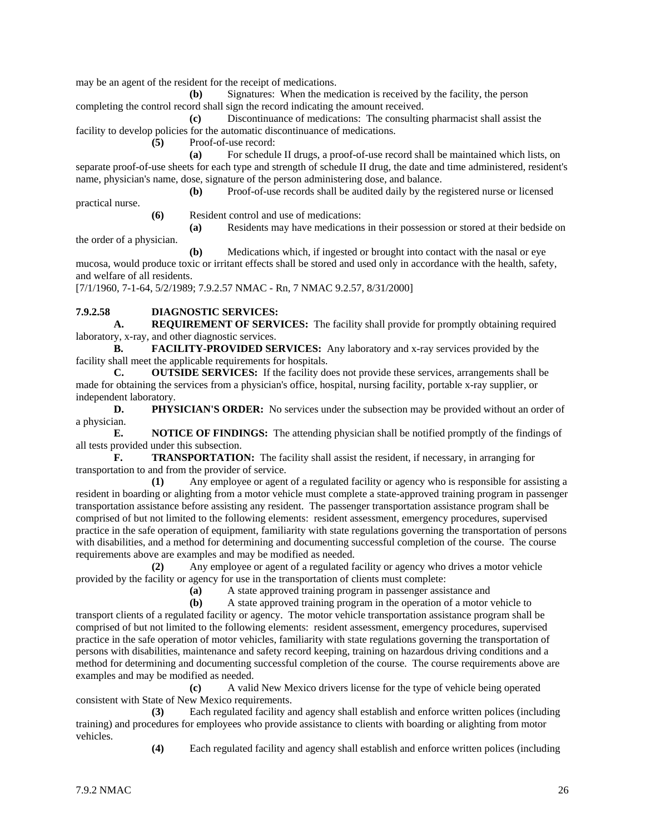may be an agent of the resident for the receipt of medications.

**(b)** Signatures: When the medication is received by the facility, the person completing the control record shall sign the record indicating the amount received.

**(c)** Discontinuance of medications: The consulting pharmacist shall assist the facility to develop policies for the automatic discontinuance of medications.

**(5)** Proof-of-use record:

**(a)** For schedule II drugs, a proof-of-use record shall be maintained which lists, on separate proof-of-use sheets for each type and strength of schedule II drug, the date and time administered, resident's name, physician's name, dose, signature of the person administering dose, and balance.

**(b)** Proof-of-use records shall be audited daily by the registered nurse or licensed

practical nurse.

**(6)** Resident control and use of medications:

**(a)** Residents may have medications in their possession or stored at their bedside on the order of a physician.

**(b)** Medications which, if ingested or brought into contact with the nasal or eye mucosa, would produce toxic or irritant effects shall be stored and used only in accordance with the health, safety, and welfare of all residents.

[7/1/1960, 7-1-64, 5/2/1989; 7.9.2.57 NMAC - Rn, 7 NMAC 9.2.57, 8/31/2000]

## **7.9.2.58 DIAGNOSTIC SERVICES:**

**A. REQUIREMENT OF SERVICES:** The facility shall provide for promptly obtaining required laboratory, x-ray, and other diagnostic services.

**B. FACILITY-PROVIDED SERVICES:** Any laboratory and x-ray services provided by the facility shall meet the applicable requirements for hospitals.

**C. OUTSIDE SERVICES:** If the facility does not provide these services, arrangements shall be made for obtaining the services from a physician's office, hospital, nursing facility, portable x-ray supplier, or independent laboratory.

**D. PHYSICIAN'S ORDER:** No services under the subsection may be provided without an order of a physician.

**E. NOTICE OF FINDINGS:** The attending physician shall be notified promptly of the findings of all tests provided under this subsection.

**F. TRANSPORTATION:** The facility shall assist the resident, if necessary, in arranging for transportation to and from the provider of service.

**(1)** Any employee or agent of a regulated facility or agency who is responsible for assisting a resident in boarding or alighting from a motor vehicle must complete a state-approved training program in passenger transportation assistance before assisting any resident. The passenger transportation assistance program shall be comprised of but not limited to the following elements: resident assessment, emergency procedures, supervised practice in the safe operation of equipment, familiarity with state regulations governing the transportation of persons with disabilities, and a method for determining and documenting successful completion of the course. The course requirements above are examples and may be modified as needed.

**(2)** Any employee or agent of a regulated facility or agency who drives a motor vehicle provided by the facility or agency for use in the transportation of clients must complete:

**(a)** A state approved training program in passenger assistance and

**(b)** A state approved training program in the operation of a motor vehicle to transport clients of a regulated facility or agency. The motor vehicle transportation assistance program shall be comprised of but not limited to the following elements: resident assessment, emergency procedures, supervised practice in the safe operation of motor vehicles, familiarity with state regulations governing the transportation of persons with disabilities, maintenance and safety record keeping, training on hazardous driving conditions and a method for determining and documenting successful completion of the course. The course requirements above are examples and may be modified as needed.

**(c)** A valid New Mexico drivers license for the type of vehicle being operated consistent with State of New Mexico requirements.

**(3)** Each regulated facility and agency shall establish and enforce written polices (including training) and procedures for employees who provide assistance to clients with boarding or alighting from motor vehicles.

**(4)** Each regulated facility and agency shall establish and enforce written polices (including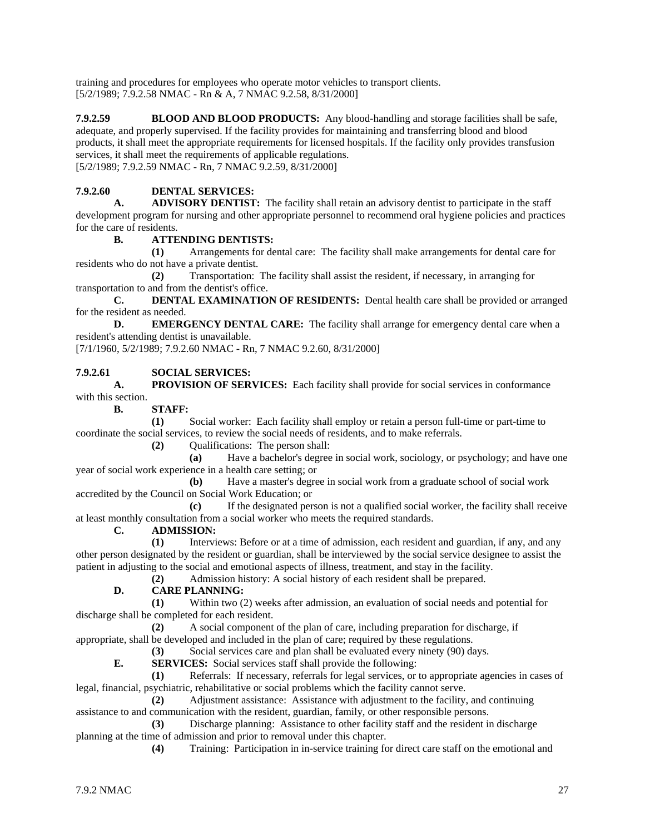training and procedures for employees who operate motor vehicles to transport clients. [5/2/1989; 7.9.2.58 NMAC - Rn & A, 7 NMAC 9.2.58, 8/31/2000]

**7.9.2.59 BLOOD AND BLOOD PRODUCTS:** Any blood-handling and storage facilities shall be safe, adequate, and properly supervised. If the facility provides for maintaining and transferring blood and blood products, it shall meet the appropriate requirements for licensed hospitals. If the facility only provides transfusion services, it shall meet the requirements of applicable regulations. [5/2/1989; 7.9.2.59 NMAC - Rn, 7 NMAC 9.2.59, 8/31/2000]

### **7.9.2.60 DENTAL SERVICES:**

**A. ADVISORY DENTIST:** The facility shall retain an advisory dentist to participate in the staff development program for nursing and other appropriate personnel to recommend oral hygiene policies and practices for the care of residents.

#### **B. ATTENDING DENTISTS:**

**(1)** Arrangements for dental care: The facility shall make arrangements for dental care for residents who do not have a private dentist.

**(2)** Transportation: The facility shall assist the resident, if necessary, in arranging for transportation to and from the dentist's office.

**C. DENTAL EXAMINATION OF RESIDENTS:** Dental health care shall be provided or arranged for the resident as needed.

**D. EMERGENCY DENTAL CARE:** The facility shall arrange for emergency dental care when a resident's attending dentist is unavailable.

[7/1/1960, 5/2/1989; 7.9.2.60 NMAC - Rn, 7 NMAC 9.2.60, 8/31/2000]

#### **7.9.2.61 SOCIAL SERVICES:**

**A. PROVISION OF SERVICES:** Each facility shall provide for social services in conformance with this section.

**B. STAFF:**

**(1)** Social worker: Each facility shall employ or retain a person full-time or part-time to coordinate the social services, to review the social needs of residents, and to make referrals.

**(2)** Qualifications: The person shall:

**(a)** Have a bachelor's degree in social work, sociology, or psychology; and have one year of social work experience in a health care setting; or

**(b)** Have a master's degree in social work from a graduate school of social work accredited by the Council on Social Work Education; or

**(c)** If the designated person is not a qualified social worker, the facility shall receive at least monthly consultation from a social worker who meets the required standards.

#### **C. ADMISSION:**

**(1)** Interviews: Before or at a time of admission, each resident and guardian, if any, and any other person designated by the resident or guardian, shall be interviewed by the social service designee to assist the patient in adjusting to the social and emotional aspects of illness, treatment, and stay in the facility.

**(2)** Admission history: A social history of each resident shall be prepared.

#### **D. CARE PLANNING:**

**(1)** Within two (2) weeks after admission, an evaluation of social needs and potential for discharge shall be completed for each resident.

**(2)** A social component of the plan of care, including preparation for discharge, if

appropriate, shall be developed and included in the plan of care; required by these regulations.

**(3)** Social services care and plan shall be evaluated every ninety (90) days.

**E. SERVICES:** Social services staff shall provide the following:

**(1)** Referrals: If necessary, referrals for legal services, or to appropriate agencies in cases of legal, financial, psychiatric, rehabilitative or social problems which the facility cannot serve.

**(2)** Adjustment assistance: Assistance with adjustment to the facility, and continuing assistance to and communication with the resident, guardian, family, or other responsible persons.

**(3)** Discharge planning: Assistance to other facility staff and the resident in discharge planning at the time of admission and prior to removal under this chapter.

**(4)** Training: Participation in in-service training for direct care staff on the emotional and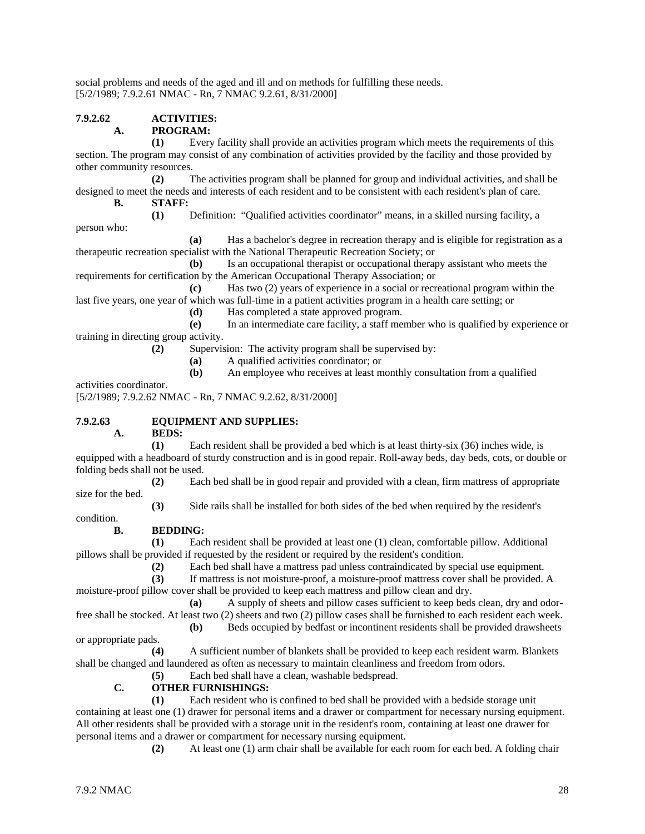social problems and needs of the aged and ill and on methods for fulfilling these needs. [5/2/1989; 7.9.2.61 NMAC - Rn, 7 NMAC 9.2.61, 8/31/2000]

### **7.9.2.62 ACTIVITIES:**

#### **A. PROGRAM:**

**(1)** Every facility shall provide an activities program which meets the requirements of this section. The program may consist of any combination of activities provided by the facility and those provided by other community resources.

**(2)** The activities program shall be planned for group and individual activities, and shall be designed to meet the needs and interests of each resident and to be consistent with each resident's plan of care.

**B. STAFF:**

**(1)** Definition: "Qualified activities coordinator" means, in a skilled nursing facility, a

person who:

**(a)** Has a bachelor's degree in recreation therapy and is eligible for registration as a therapeutic recreation specialist with the National Therapeutic Recreation Society; or

**(b)** Is an occupational therapist or occupational therapy assistant who meets the requirements for certification by the American Occupational Therapy Association; or

**(c)** Has two (2) years of experience in a social or recreational program within the last five years, one year of which was full-time in a patient activities program in a health care setting; or

**(d)** Has completed a state approved program.

**(e)** In an intermediate care facility, a staff member who is qualified by experience or training in directing group activity.

**(2)** Supervision: The activity program shall be supervised by:

**(a)** A qualified activities coordinator; or

**(b)** An employee who receives at least monthly consultation from a qualified

activities coordinator.

[5/2/1989; 7.9.2.62 NMAC - Rn, 7 NMAC 9.2.62, 8/31/2000]

## **7.9.2.63 EQUIPMENT AND SUPPLIES:**

**A. BEDS:**

**(1)** Each resident shall be provided a bed which is at least thirty-six (36) inches wide, is equipped with a headboard of sturdy construction and is in good repair. Roll-away beds, day beds, cots, or double or folding beds shall not be used.

**(2)** Each bed shall be in good repair and provided with a clean, firm mattress of appropriate size for the bed.

**(3)** Side rails shall be installed for both sides of the bed when required by the resident's

condition.

#### **B. BEDDING:**

**(1)** Each resident shall be provided at least one (1) clean, comfortable pillow. Additional pillows shall be provided if requested by the resident or required by the resident's condition.

(2) Each bed shall have a mattress pad unless contraindicated by special use equipment.<br> **(3)** If mattress is not moisture-proof, a moisture-proof mattress cover shall be provided.

**(3)** If mattress is not moisture-proof, a moisture-proof mattress cover shall be provided. A moisture-proof pillow cover shall be provided to keep each mattress and pillow clean and dry.

**(a)** A supply of sheets and pillow cases sufficient to keep beds clean, dry and odorfree shall be stocked. At least two (2) sheets and two (2) pillow cases shall be furnished to each resident each week.

**(b)** Beds occupied by bedfast or incontinent residents shall be provided drawsheets

**(4)** A sufficient number of blankets shall be provided to keep each resident warm. Blankets shall be changed and laundered as often as necessary to maintain cleanliness and freedom from odors.

**(5)** Each bed shall have a clean, washable bedspread.

### **C. OTHER FURNISHINGS:**

**(1)** Each resident who is confined to bed shall be provided with a bedside storage unit containing at least one (1) drawer for personal items and a drawer or compartment for necessary nursing equipment. All other residents shall be provided with a storage unit in the resident's room, containing at least one drawer for personal items and a drawer or compartment for necessary nursing equipment.

**(2)** At least one (1) arm chair shall be available for each room for each bed. A folding chair

or appropriate pads.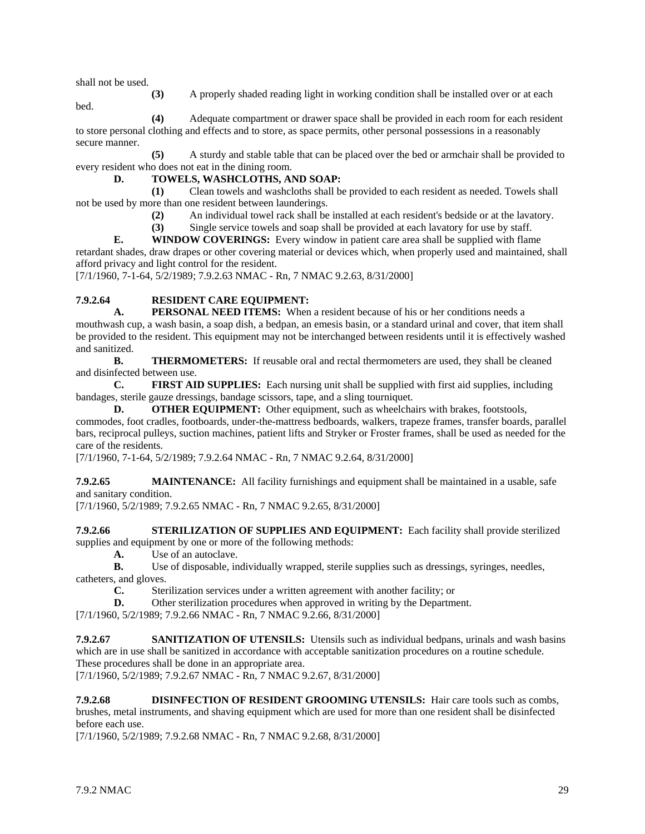shall not be used.

**(3)** A properly shaded reading light in working condition shall be installed over or at each

bed.

**(4)** Adequate compartment or drawer space shall be provided in each room for each resident to store personal clothing and effects and to store, as space permits, other personal possessions in a reasonably secure manner.

**(5)** A sturdy and stable table that can be placed over the bed or armchair shall be provided to every resident who does not eat in the dining room.

### **D. TOWELS, WASHCLOTHS, AND SOAP:**

**(1)** Clean towels and washcloths shall be provided to each resident as needed. Towels shall not be used by more than one resident between launderings.

**(2)** An individual towel rack shall be installed at each resident's bedside or at the lavatory.

**(3)** Single service towels and soap shall be provided at each lavatory for use by staff.

**E. WINDOW COVERINGS:** Every window in patient care area shall be supplied with flame retardant shades, draw drapes or other covering material or devices which, when properly used and maintained, shall afford privacy and light control for the resident.

[7/1/1960, 7-1-64, 5/2/1989; 7.9.2.63 NMAC - Rn, 7 NMAC 9.2.63, 8/31/2000]

#### **7.9.2.64 RESIDENT CARE EQUIPMENT:**

**A. PERSONAL NEED ITEMS:** When a resident because of his or her conditions needs a mouthwash cup, a wash basin, a soap dish, a bedpan, an emesis basin, or a standard urinal and cover, that item shall be provided to the resident. This equipment may not be interchanged between residents until it is effectively washed and sanitized.

**B. THERMOMETERS:** If reusable oral and rectal thermometers are used, they shall be cleaned and disinfected between use.

**C. FIRST AID SUPPLIES:** Each nursing unit shall be supplied with first aid supplies, including bandages, sterile gauze dressings, bandage scissors, tape, and a sling tourniquet.

**D. OTHER EQUIPMENT:** Other equipment, such as wheelchairs with brakes, footstools, commodes, foot cradles, footboards, under-the-mattress bedboards, walkers, trapeze frames, transfer boards, parallel bars, reciprocal pulleys, suction machines, patient lifts and Stryker or Froster frames, shall be used as needed for the care of the residents.

[7/1/1960, 7-1-64, 5/2/1989; 7.9.2.64 NMAC - Rn, 7 NMAC 9.2.64, 8/31/2000]

**7.9.2.65 MAINTENANCE:** All facility furnishings and equipment shall be maintained in a usable, safe and sanitary condition.

[7/1/1960, 5/2/1989; 7.9.2.65 NMAC - Rn, 7 NMAC 9.2.65, 8/31/2000]

**7.9.2.66 STERILIZATION OF SUPPLIES AND EQUIPMENT:** Each facility shall provide sterilized supplies and equipment by one or more of the following methods:

**A.** Use of an autoclave.

**B.** Use of disposable, individually wrapped, sterile supplies such as dressings, syringes, needles, catheters, and gloves.

**C.** Sterilization services under a written agreement with another facility; or

**D.** Other sterilization procedures when approved in writing by the Department.

[7/1/1960, 5/2/1989; 7.9.2.66 NMAC - Rn, 7 NMAC 9.2.66, 8/31/2000]

**7.9.2.67 SANITIZATION OF UTENSILS:** Utensils such as individual bedpans, urinals and wash basins which are in use shall be sanitized in accordance with acceptable sanitization procedures on a routine schedule.

These procedures shall be done in an appropriate area.

[7/1/1960, 5/2/1989; 7.9.2.67 NMAC - Rn, 7 NMAC 9.2.67, 8/31/2000]

**7.9.2.68 DISINFECTION OF RESIDENT GROOMING UTENSILS:** Hair care tools such as combs, brushes, metal instruments, and shaving equipment which are used for more than one resident shall be disinfected before each use.

[7/1/1960, 5/2/1989; 7.9.2.68 NMAC - Rn, 7 NMAC 9.2.68, 8/31/2000]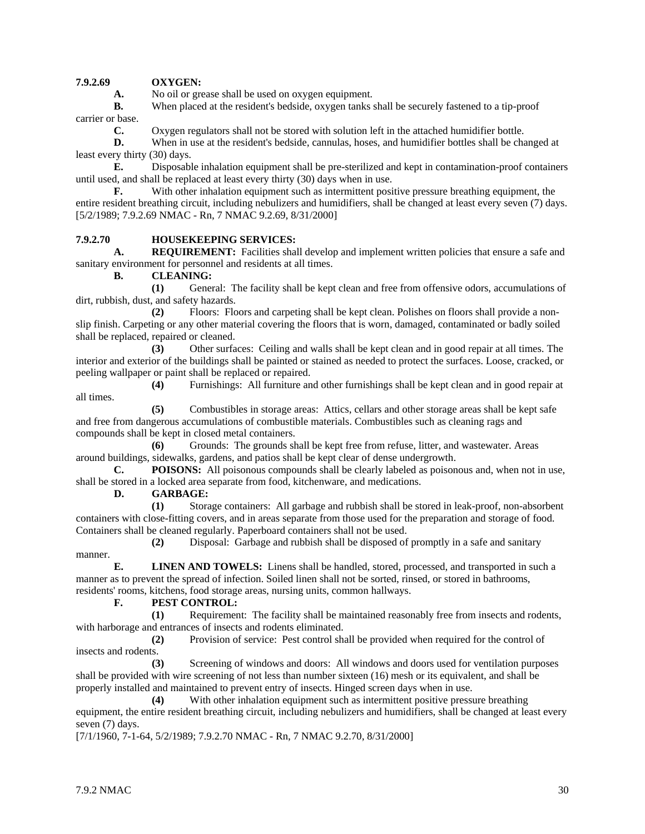#### **7.9.2.69 OXYGEN:**

A. No oil or grease shall be used on oxygen equipment.

**B.** When placed at the resident's bedside, oxygen tanks shall be securely fastened to a tip-proof carrier or base.

**C.** Oxygen regulators shall not be stored with solution left in the attached humidifier bottle.

**D.** When in use at the resident's bedside, cannulas, hoses, and humidifier bottles shall be changed at least every thirty (30) days.

**E.** Disposable inhalation equipment shall be pre-sterilized and kept in contamination-proof containers until used, and shall be replaced at least every thirty (30) days when in use.

**F.** With other inhalation equipment such as intermittent positive pressure breathing equipment, the entire resident breathing circuit, including nebulizers and humidifiers, shall be changed at least every seven (7) days. [5/2/1989; 7.9.2.69 NMAC - Rn, 7 NMAC 9.2.69, 8/31/2000]

#### **7.9.2.70 HOUSEKEEPING SERVICES:**

**A. REQUIREMENT:** Facilities shall develop and implement written policies that ensure a safe and sanitary environment for personnel and residents at all times.

**B. CLEANING:**

**(1)** General: The facility shall be kept clean and free from offensive odors, accumulations of dirt, rubbish, dust, and safety hazards.

**(2)** Floors: Floors and carpeting shall be kept clean. Polishes on floors shall provide a nonslip finish. Carpeting or any other material covering the floors that is worn, damaged, contaminated or badly soiled shall be replaced, repaired or cleaned.

**(3)** Other surfaces: Ceiling and walls shall be kept clean and in good repair at all times. The interior and exterior of the buildings shall be painted or stained as needed to protect the surfaces. Loose, cracked, or peeling wallpaper or paint shall be replaced or repaired.

**(4)** Furnishings: All furniture and other furnishings shall be kept clean and in good repair at all times.

**(5)** Combustibles in storage areas: Attics, cellars and other storage areas shall be kept safe and free from dangerous accumulations of combustible materials. Combustibles such as cleaning rags and compounds shall be kept in closed metal containers.

**(6)** Grounds: The grounds shall be kept free from refuse, litter, and wastewater. Areas around buildings, sidewalks, gardens, and patios shall be kept clear of dense undergrowth.

**C. POISONS:** All poisonous compounds shall be clearly labeled as poisonous and, when not in use, shall be stored in a locked area separate from food, kitchenware, and medications.

**D. GARBAGE:**

**(1)** Storage containers: All garbage and rubbish shall be stored in leak-proof, non-absorbent containers with close-fitting covers, and in areas separate from those used for the preparation and storage of food. Containers shall be cleaned regularly. Paperboard containers shall not be used.

**(2)** Disposal: Garbage and rubbish shall be disposed of promptly in a safe and sanitary

manner.

**E. LINEN AND TOWELS:** Linens shall be handled, stored, processed, and transported in such a manner as to prevent the spread of infection. Soiled linen shall not be sorted, rinsed, or stored in bathrooms,

residents' rooms, kitchens, food storage areas, nursing units, common hallways.

#### **F. PEST CONTROL:**

**(1)** Requirement: The facility shall be maintained reasonably free from insects and rodents, with harborage and entrances of insects and rodents eliminated.

**(2)** Provision of service: Pest control shall be provided when required for the control of insects and rodents.

**(3)** Screening of windows and doors: All windows and doors used for ventilation purposes shall be provided with wire screening of not less than number sixteen (16) mesh or its equivalent, and shall be properly installed and maintained to prevent entry of insects. Hinged screen days when in use.

**(4)** With other inhalation equipment such as intermittent positive pressure breathing equipment, the entire resident breathing circuit, including nebulizers and humidifiers, shall be changed at least every seven (7) days.

[7/1/1960, 7-1-64, 5/2/1989; 7.9.2.70 NMAC - Rn, 7 NMAC 9.2.70, 8/31/2000]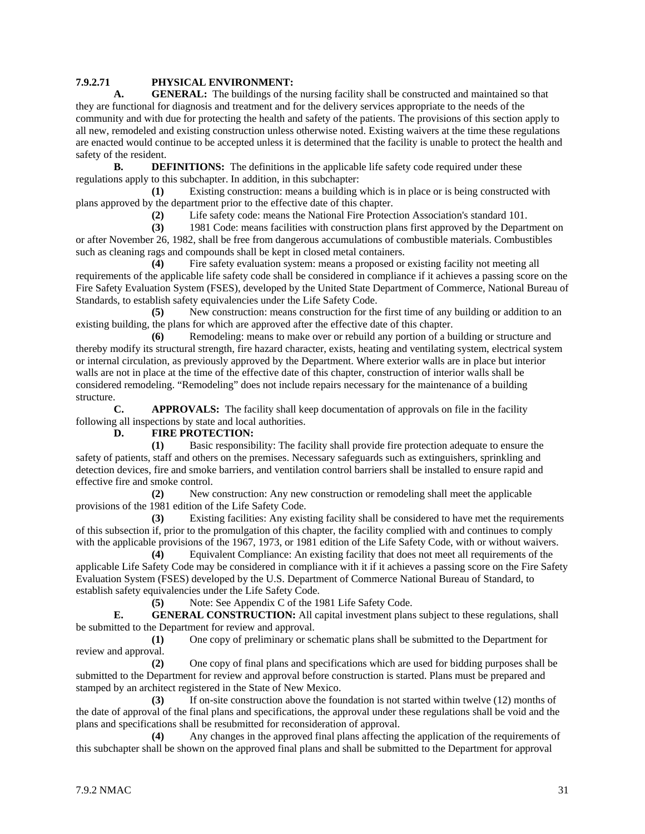#### **7.9.2.71 PHYSICAL ENVIRONMENT:**

**A. GENERAL:** The buildings of the nursing facility shall be constructed and maintained so that they are functional for diagnosis and treatment and for the delivery services appropriate to the needs of the community and with due for protecting the health and safety of the patients. The provisions of this section apply to all new, remodeled and existing construction unless otherwise noted. Existing waivers at the time these regulations are enacted would continue to be accepted unless it is determined that the facility is unable to protect the health and safety of the resident.

**B. DEFINITIONS:** The definitions in the applicable life safety code required under these regulations apply to this subchapter. In addition, in this subchapter:

**(1)** Existing construction: means a building which is in place or is being constructed with plans approved by the department prior to the effective date of this chapter.

**(2)** Life safety code: means the National Fire Protection Association's standard 101.

**(3)** 1981 Code: means facilities with construction plans first approved by the Department on or after November 26, 1982, shall be free from dangerous accumulations of combustible materials. Combustibles such as cleaning rags and compounds shall be kept in closed metal containers.

**(4)** Fire safety evaluation system: means a proposed or existing facility not meeting all requirements of the applicable life safety code shall be considered in compliance if it achieves a passing score on the Fire Safety Evaluation System (FSES), developed by the United State Department of Commerce, National Bureau of Standards, to establish safety equivalencies under the Life Safety Code.

**(5)** New construction: means construction for the first time of any building or addition to an existing building, the plans for which are approved after the effective date of this chapter.

**(6)** Remodeling: means to make over or rebuild any portion of a building or structure and thereby modify its structural strength, fire hazard character, exists, heating and ventilating system, electrical system or internal circulation, as previously approved by the Department. Where exterior walls are in place but interior walls are not in place at the time of the effective date of this chapter, construction of interior walls shall be considered remodeling. "Remodeling" does not include repairs necessary for the maintenance of a building structure.

**C. APPROVALS:** The facility shall keep documentation of approvals on file in the facility following all inspections by state and local authorities.

#### **D. FIRE PROTECTION:**

**(1)** Basic responsibility: The facility shall provide fire protection adequate to ensure the safety of patients, staff and others on the premises. Necessary safeguards such as extinguishers, sprinkling and detection devices, fire and smoke barriers, and ventilation control barriers shall be installed to ensure rapid and effective fire and smoke control.

**(2)** New construction: Any new construction or remodeling shall meet the applicable provisions of the 1981 edition of the Life Safety Code.

**(3)** Existing facilities: Any existing facility shall be considered to have met the requirements of this subsection if, prior to the promulgation of this chapter, the facility complied with and continues to comply with the applicable provisions of the 1967, 1973, or 1981 edition of the Life Safety Code, with or without waivers.

**(4)** Equivalent Compliance: An existing facility that does not meet all requirements of the applicable Life Safety Code may be considered in compliance with it if it achieves a passing score on the Fire Safety Evaluation System (FSES) developed by the U.S. Department of Commerce National Bureau of Standard, to establish safety equivalencies under the Life Safety Code.

**(5)** Note: See Appendix C of the 1981 Life Safety Code.

**E. GENERAL CONSTRUCTION:** All capital investment plans subject to these regulations, shall be submitted to the Department for review and approval.

**(1)** One copy of preliminary or schematic plans shall be submitted to the Department for review and approval.

**(2)** One copy of final plans and specifications which are used for bidding purposes shall be submitted to the Department for review and approval before construction is started. Plans must be prepared and stamped by an architect registered in the State of New Mexico.

**(3)** If on-site construction above the foundation is not started within twelve (12) months of the date of approval of the final plans and specifications, the approval under these regulations shall be void and the plans and specifications shall be resubmitted for reconsideration of approval.

**(4)** Any changes in the approved final plans affecting the application of the requirements of this subchapter shall be shown on the approved final plans and shall be submitted to the Department for approval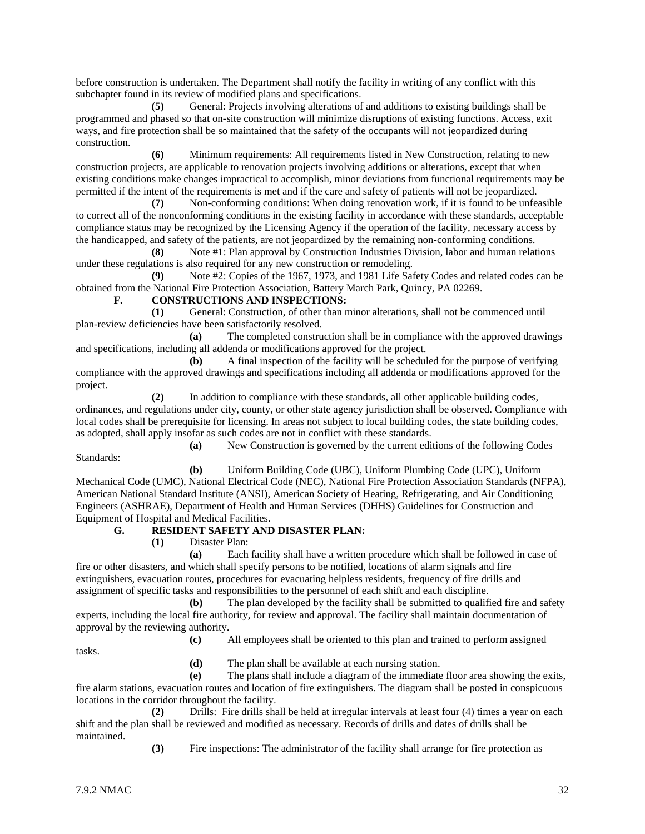before construction is undertaken. The Department shall notify the facility in writing of any conflict with this subchapter found in its review of modified plans and specifications.

**(5)** General: Projects involving alterations of and additions to existing buildings shall be programmed and phased so that on-site construction will minimize disruptions of existing functions. Access, exit ways, and fire protection shall be so maintained that the safety of the occupants will not jeopardized during construction.

**(6)** Minimum requirements: All requirements listed in New Construction, relating to new construction projects, are applicable to renovation projects involving additions or alterations, except that when existing conditions make changes impractical to accomplish, minor deviations from functional requirements may be permitted if the intent of the requirements is met and if the care and safety of patients will not be jeopardized.

**(7)** Non-conforming conditions: When doing renovation work, if it is found to be unfeasible to correct all of the nonconforming conditions in the existing facility in accordance with these standards, acceptable compliance status may be recognized by the Licensing Agency if the operation of the facility, necessary access by the handicapped, and safety of the patients, are not jeopardized by the remaining non-conforming conditions.

**(8)** Note #1: Plan approval by Construction Industries Division, labor and human relations under these regulations is also required for any new construction or remodeling.

**(9)** Note #2: Copies of the 1967, 1973, and 1981 Life Safety Codes and related codes can be obtained from the National Fire Protection Association, Battery March Park, Quincy, PA 02269.

#### **F. CONSTRUCTIONS AND INSPECTIONS:**

**(1)** General: Construction, of other than minor alterations, shall not be commenced until plan-review deficiencies have been satisfactorily resolved.

**(a)** The completed construction shall be in compliance with the approved drawings and specifications, including all addenda or modifications approved for the project.

**(b)** A final inspection of the facility will be scheduled for the purpose of verifying compliance with the approved drawings and specifications including all addenda or modifications approved for the project.

**(2)** In addition to compliance with these standards, all other applicable building codes, ordinances, and regulations under city, county, or other state agency jurisdiction shall be observed. Compliance with local codes shall be prerequisite for licensing. In areas not subject to local building codes, the state building codes, as adopted, shall apply insofar as such codes are not in conflict with these standards.

Standards:

**(a)** New Construction is governed by the current editions of the following Codes

**(b)** Uniform Building Code (UBC), Uniform Plumbing Code (UPC), Uniform

Mechanical Code (UMC), National Electrical Code (NEC), National Fire Protection Association Standards (NFPA), American National Standard Institute (ANSI), American Society of Heating, Refrigerating, and Air Conditioning Engineers (ASHRAE), Department of Health and Human Services (DHHS) Guidelines for Construction and Equipment of Hospital and Medical Facilities.

#### **G. RESIDENT SAFETY AND DISASTER PLAN:**

**(1)** Disaster Plan:

**(a)** Each facility shall have a written procedure which shall be followed in case of fire or other disasters, and which shall specify persons to be notified, locations of alarm signals and fire extinguishers, evacuation routes, procedures for evacuating helpless residents, frequency of fire drills and assignment of specific tasks and responsibilities to the personnel of each shift and each discipline.

**(b)** The plan developed by the facility shall be submitted to qualified fire and safety experts, including the local fire authority, for review and approval. The facility shall maintain documentation of approval by the reviewing authority.

**(c)** All employees shall be oriented to this plan and trained to perform assigned

tasks.

**(d)** The plan shall be available at each nursing station.

**(e)** The plans shall include a diagram of the immediate floor area showing the exits, fire alarm stations, evacuation routes and location of fire extinguishers. The diagram shall be posted in conspicuous locations in the corridor throughout the facility.

**(2)** Drills: Fire drills shall be held at irregular intervals at least four (4) times a year on each shift and the plan shall be reviewed and modified as necessary. Records of drills and dates of drills shall be maintained.

**(3)** Fire inspections: The administrator of the facility shall arrange for fire protection as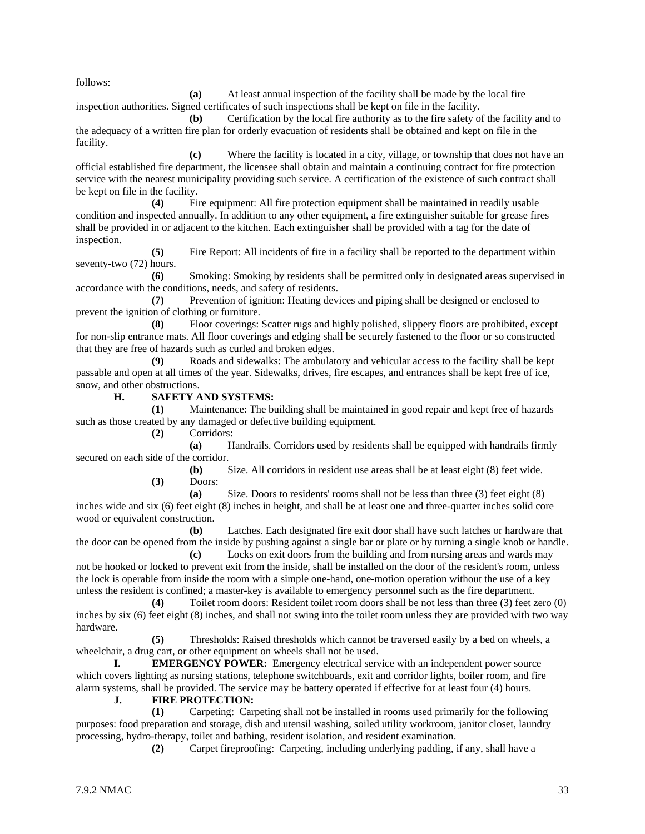follows:

**(a)** At least annual inspection of the facility shall be made by the local fire inspection authorities. Signed certificates of such inspections shall be kept on file in the facility.

**(b)** Certification by the local fire authority as to the fire safety of the facility and to the adequacy of a written fire plan for orderly evacuation of residents shall be obtained and kept on file in the facility.

**(c)** Where the facility is located in a city, village, or township that does not have an official established fire department, the licensee shall obtain and maintain a continuing contract for fire protection service with the nearest municipality providing such service. A certification of the existence of such contract shall be kept on file in the facility.

**(4)** Fire equipment: All fire protection equipment shall be maintained in readily usable condition and inspected annually. In addition to any other equipment, a fire extinguisher suitable for grease fires shall be provided in or adjacent to the kitchen. Each extinguisher shall be provided with a tag for the date of inspection.

**(5)** Fire Report: All incidents of fire in a facility shall be reported to the department within seventy-two (72) hours.

**(6)** Smoking: Smoking by residents shall be permitted only in designated areas supervised in accordance with the conditions, needs, and safety of residents.

**(7)** Prevention of ignition: Heating devices and piping shall be designed or enclosed to prevent the ignition of clothing or furniture.

**(8)** Floor coverings: Scatter rugs and highly polished, slippery floors are prohibited, except for non-slip entrance mats. All floor coverings and edging shall be securely fastened to the floor or so constructed that they are free of hazards such as curled and broken edges.

**(9)** Roads and sidewalks: The ambulatory and vehicular access to the facility shall be kept passable and open at all times of the year. Sidewalks, drives, fire escapes, and entrances shall be kept free of ice, snow, and other obstructions.

**H. SAFETY AND SYSTEMS:**

**(1)** Maintenance: The building shall be maintained in good repair and kept free of hazards such as those created by any damaged or defective building equipment.

**(2)** Corridors:

**(a)** Handrails. Corridors used by residents shall be equipped with handrails firmly secured on each side of the corridor.

**(b)** Size. All corridors in resident use areas shall be at least eight (8) feet wide. **(3)** Doors:

**(a)** Size. Doors to residents' rooms shall not be less than three (3) feet eight (8) inches wide and six (6) feet eight (8) inches in height, and shall be at least one and three-quarter inches solid core wood or equivalent construction.

**(b)** Latches. Each designated fire exit door shall have such latches or hardware that the door can be opened from the inside by pushing against a single bar or plate or by turning a single knob or handle.

**(c)** Locks on exit doors from the building and from nursing areas and wards may not be hooked or locked to prevent exit from the inside, shall be installed on the door of the resident's room, unless the lock is operable from inside the room with a simple one-hand, one-motion operation without the use of a key unless the resident is confined; a master-key is available to emergency personnel such as the fire department.

**(4)** Toilet room doors: Resident toilet room doors shall be not less than three (3) feet zero (0) inches by six (6) feet eight (8) inches, and shall not swing into the toilet room unless they are provided with two way hardware.

**(5)** Thresholds: Raised thresholds which cannot be traversed easily by a bed on wheels, a wheelchair, a drug cart, or other equipment on wheels shall not be used.

**I. EMERGENCY POWER:** Emergency electrical service with an independent power source which covers lighting as nursing stations, telephone switchboards, exit and corridor lights, boiler room, and fire alarm systems, shall be provided. The service may be battery operated if effective for at least four (4) hours.

#### **J. FIRE PROTECTION:**

**(1)** Carpeting: Carpeting shall not be installed in rooms used primarily for the following purposes: food preparation and storage, dish and utensil washing, soiled utility workroom, janitor closet, laundry processing, hydro-therapy, toilet and bathing, resident isolation, and resident examination.

**(2)** Carpet fireproofing: Carpeting, including underlying padding, if any, shall have a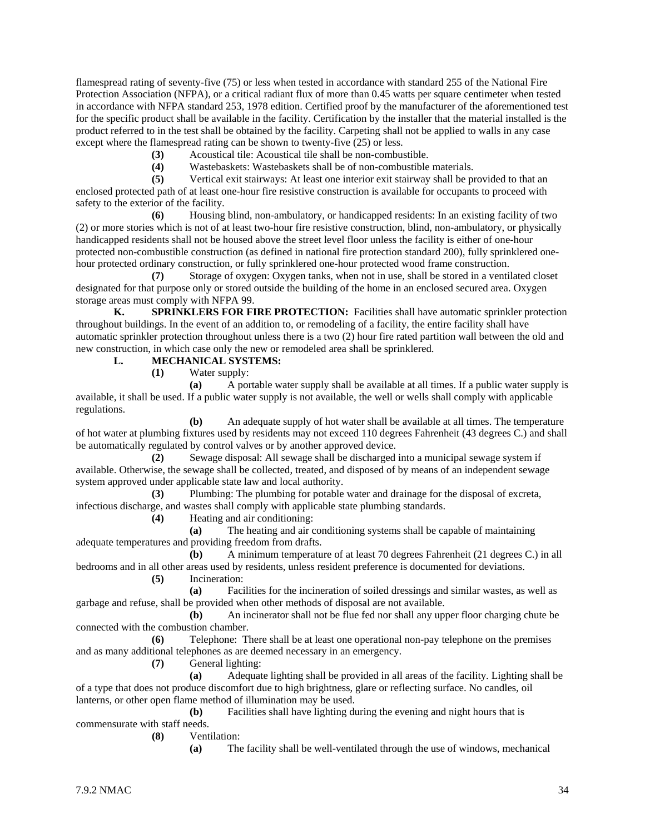flamespread rating of seventy-five (75) or less when tested in accordance with standard 255 of the National Fire Protection Association (NFPA), or a critical radiant flux of more than 0.45 watts per square centimeter when tested in accordance with NFPA standard 253, 1978 edition. Certified proof by the manufacturer of the aforementioned test for the specific product shall be available in the facility. Certification by the installer that the material installed is the product referred to in the test shall be obtained by the facility. Carpeting shall not be applied to walls in any case except where the flamespread rating can be shown to twenty-five (25) or less.

- **(3)** Acoustical tile: Acoustical tile shall be non-combustible.
- **(4)** Wastebaskets: Wastebaskets shall be of non-combustible materials.

**(5)** Vertical exit stairways: At least one interior exit stairway shall be provided to that an enclosed protected path of at least one-hour fire resistive construction is available for occupants to proceed with safety to the exterior of the facility.

**(6)** Housing blind, non-ambulatory, or handicapped residents: In an existing facility of two (2) or more stories which is not of at least two-hour fire resistive construction, blind, non-ambulatory, or physically handicapped residents shall not be housed above the street level floor unless the facility is either of one-hour protected non-combustible construction (as defined in national fire protection standard 200), fully sprinklered onehour protected ordinary construction, or fully sprinklered one-hour protected wood frame construction.

**(7)** Storage of oxygen: Oxygen tanks, when not in use, shall be stored in a ventilated closet designated for that purpose only or stored outside the building of the home in an enclosed secured area. Oxygen storage areas must comply with NFPA 99.

**K. SPRINKLERS FOR FIRE PROTECTION:** Facilities shall have automatic sprinkler protection throughout buildings. In the event of an addition to, or remodeling of a facility, the entire facility shall have automatic sprinkler protection throughout unless there is a two (2) hour fire rated partition wall between the old and new construction, in which case only the new or remodeled area shall be sprinklered.

#### **L. MECHANICAL SYSTEMS:**

**(1)** Water supply:

**(a)** A portable water supply shall be available at all times. If a public water supply is available, it shall be used. If a public water supply is not available, the well or wells shall comply with applicable regulations.

**(b)** An adequate supply of hot water shall be available at all times. The temperature of hot water at plumbing fixtures used by residents may not exceed 110 degrees Fahrenheit (43 degrees C.) and shall be automatically regulated by control valves or by another approved device.

**(2)** Sewage disposal: All sewage shall be discharged into a municipal sewage system if available. Otherwise, the sewage shall be collected, treated, and disposed of by means of an independent sewage system approved under applicable state law and local authority.

**(3)** Plumbing: The plumbing for potable water and drainage for the disposal of excreta, infectious discharge, and wastes shall comply with applicable state plumbing standards.

**(4)** Heating and air conditioning:

**(a)** The heating and air conditioning systems shall be capable of maintaining adequate temperatures and providing freedom from drafts.

**(b)** A minimum temperature of at least 70 degrees Fahrenheit (21 degrees C.) in all bedrooms and in all other areas used by residents, unless resident preference is documented for deviations.

**(5)** Incineration:

**(a)** Facilities for the incineration of soiled dressings and similar wastes, as well as garbage and refuse, shall be provided when other methods of disposal are not available.

**(b)** An incinerator shall not be flue fed nor shall any upper floor charging chute be connected with the combustion chamber.

**(6)** Telephone: There shall be at least one operational non-pay telephone on the premises and as many additional telephones as are deemed necessary in an emergency.

**(7)** General lighting:

**(a)** Adequate lighting shall be provided in all areas of the facility. Lighting shall be of a type that does not produce discomfort due to high brightness, glare or reflecting surface. No candles, oil lanterns, or other open flame method of illumination may be used.

**(b)** Facilities shall have lighting during the evening and night hours that is commensurate with staff needs.

**(8)** Ventilation:

**(a)** The facility shall be well-ventilated through the use of windows, mechanical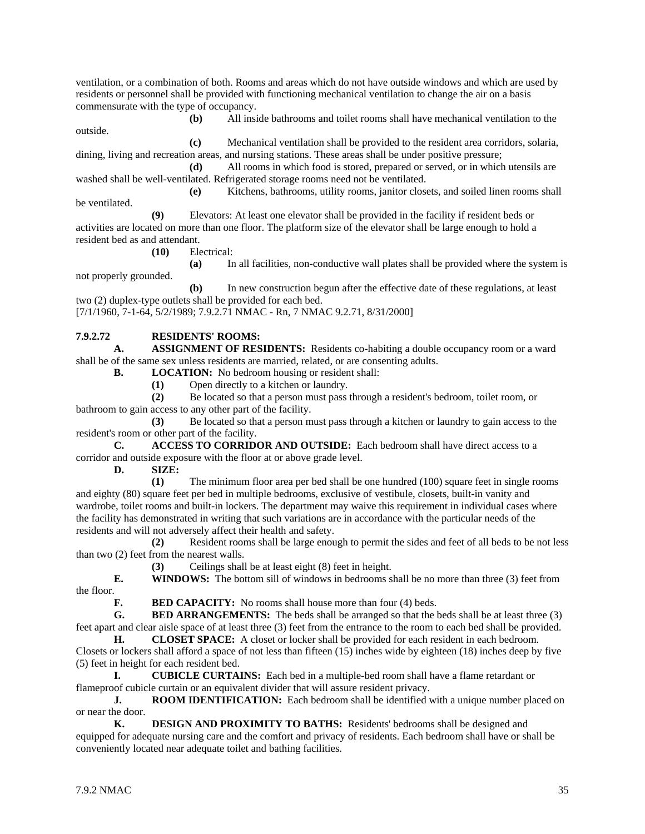ventilation, or a combination of both. Rooms and areas which do not have outside windows and which are used by residents or personnel shall be provided with functioning mechanical ventilation to change the air on a basis commensurate with the type of occupancy.

**(b)** All inside bathrooms and toilet rooms shall have mechanical ventilation to the outside.

**(c)** Mechanical ventilation shall be provided to the resident area corridors, solaria, dining, living and recreation areas, and nursing stations. These areas shall be under positive pressure;

**(d)** All rooms in which food is stored, prepared or served, or in which utensils are washed shall be well-ventilated. Refrigerated storage rooms need not be ventilated.

**(e)** Kitchens, bathrooms, utility rooms, janitor closets, and soiled linen rooms shall be ventilated.

**(9)** Elevators: At least one elevator shall be provided in the facility if resident beds or activities are located on more than one floor. The platform size of the elevator shall be large enough to hold a resident bed as and attendant.

**(10)** Electrical:

**(a)** In all facilities, non-conductive wall plates shall be provided where the system is not properly grounded.

**(b)** In new construction begun after the effective date of these regulations, at least two (2) duplex-type outlets shall be provided for each bed.

[7/1/1960, 7-1-64, 5/2/1989; 7.9.2.71 NMAC - Rn, 7 NMAC 9.2.71, 8/31/2000]

#### **7.9.2.72 RESIDENTS' ROOMS:**

**A. ASSIGNMENT OF RESIDENTS:** Residents co-habiting a double occupancy room or a ward shall be of the same sex unless residents are married, related, or are consenting adults.

**B. LOCATION:** No bedroom housing or resident shall:

**(1)** Open directly to a kitchen or laundry.

**(2)** Be located so that a person must pass through a resident's bedroom, toilet room, or bathroom to gain access to any other part of the facility.

**(3)** Be located so that a person must pass through a kitchen or laundry to gain access to the resident's room or other part of the facility.

**C. ACCESS TO CORRIDOR AND OUTSIDE:** Each bedroom shall have direct access to a corridor and outside exposure with the floor at or above grade level.

**D. SIZE:**

**(1)** The minimum floor area per bed shall be one hundred (100) square feet in single rooms and eighty (80) square feet per bed in multiple bedrooms, exclusive of vestibule, closets, built-in vanity and wardrobe, toilet rooms and built-in lockers. The department may waive this requirement in individual cases where the facility has demonstrated in writing that such variations are in accordance with the particular needs of the residents and will not adversely affect their health and safety.

**(2)** Resident rooms shall be large enough to permit the sides and feet of all beds to be not less than two (2) feet from the nearest walls.

**(3)** Ceilings shall be at least eight (8) feet in height.

**E. WINDOWS:** The bottom sill of windows in bedrooms shall be no more than three (3) feet from the floor.

**F. BED CAPACITY:** No rooms shall house more than four (4) beds.

**G. BED ARRANGEMENTS:** The beds shall be arranged so that the beds shall be at least three (3) feet apart and clear aisle space of at least three (3) feet from the entrance to the room to each bed shall be provided.

**H. CLOSET SPACE:** A closet or locker shall be provided for each resident in each bedroom. Closets or lockers shall afford a space of not less than fifteen (15) inches wide by eighteen (18) inches deep by five (5) feet in height for each resident bed.

**I. CUBICLE CURTAINS:** Each bed in a multiple-bed room shall have a flame retardant or flameproof cubicle curtain or an equivalent divider that will assure resident privacy.

**J. ROOM IDENTIFICATION:** Each bedroom shall be identified with a unique number placed on or near the door.

**K. DESIGN AND PROXIMITY TO BATHS:** Residents' bedrooms shall be designed and equipped for adequate nursing care and the comfort and privacy of residents. Each bedroom shall have or shall be conveniently located near adequate toilet and bathing facilities.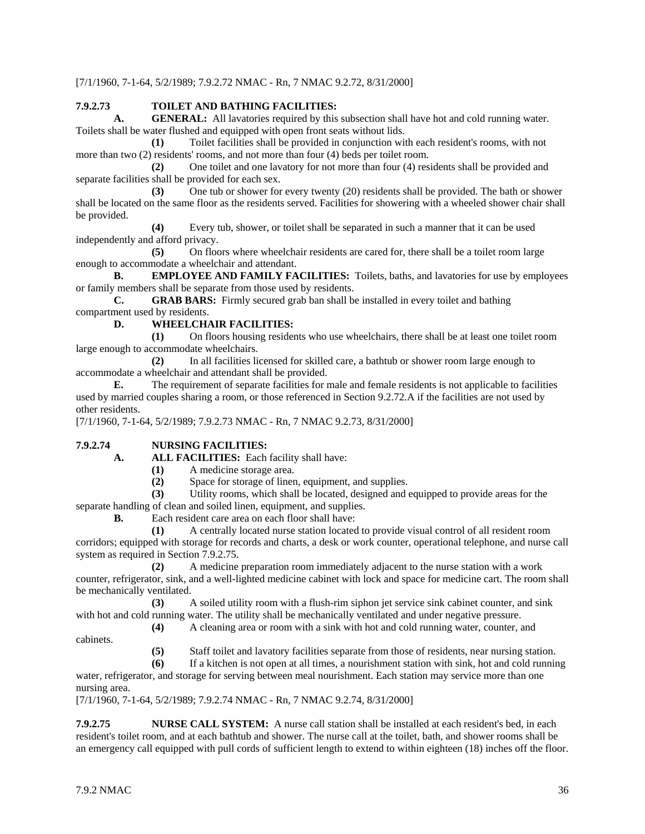[7/1/1960, 7-1-64, 5/2/1989; 7.9.2.72 NMAC - Rn, 7 NMAC 9.2.72, 8/31/2000]

#### **7.9.2.73 TOILET AND BATHING FACILITIES:**

**A. GENERAL:** All lavatories required by this subsection shall have hot and cold running water. Toilets shall be water flushed and equipped with open front seats without lids.

**(1)** Toilet facilities shall be provided in conjunction with each resident's rooms, with not more than two (2) residents' rooms, and not more than four (4) beds per toilet room.

**(2)** One toilet and one lavatory for not more than four (4) residents shall be provided and separate facilities shall be provided for each sex.

**(3)** One tub or shower for every twenty (20) residents shall be provided. The bath or shower shall be located on the same floor as the residents served. Facilities for showering with a wheeled shower chair shall be provided.

**(4)** Every tub, shower, or toilet shall be separated in such a manner that it can be used independently and afford privacy.

**(5)** On floors where wheelchair residents are cared for, there shall be a toilet room large enough to accommodate a wheelchair and attendant.

**B. EMPLOYEE AND FAMILY FACILITIES:** Toilets, baths, and lavatories for use by employees or family members shall be separate from those used by residents.

**C. GRAB BARS:** Firmly secured grab ban shall be installed in every toilet and bathing compartment used by residents.

#### **D. WHEELCHAIR FACILITIES:**

**(1)** On floors housing residents who use wheelchairs, there shall be at least one toilet room large enough to accommodate wheelchairs.

**(2)** In all facilities licensed for skilled care, a bathtub or shower room large enough to accommodate a wheelchair and attendant shall be provided.

**E.** The requirement of separate facilities for male and female residents is not applicable to facilities used by married couples sharing a room, or those referenced in Section 9.2.72.A if the facilities are not used by other residents.

[7/1/1960, 7-1-64, 5/2/1989; 7.9.2.73 NMAC - Rn, 7 NMAC 9.2.73, 8/31/2000]

#### **7.9.2.74 NURSING FACILITIES:**

**A. ALL FACILITIES:** Each facility shall have:

**(1)** A medicine storage area.

**(2)** Space for storage of linen, equipment, and supplies.

**(3)** Utility rooms, which shall be located, designed and equipped to provide areas for the separate handling of clean and soiled linen, equipment, and supplies.

**B.** Each resident care area on each floor shall have:

**(1)** A centrally located nurse station located to provide visual control of all resident room corridors; equipped with storage for records and charts, a desk or work counter, operational telephone, and nurse call system as required in Section 7.9.2.75.

**(2)** A medicine preparation room immediately adjacent to the nurse station with a work counter, refrigerator, sink, and a well-lighted medicine cabinet with lock and space for medicine cart. The room shall be mechanically ventilated.

**(3)** A soiled utility room with a flush-rim siphon jet service sink cabinet counter, and sink with hot and cold running water. The utility shall be mechanically ventilated and under negative pressure.

**(4)** A cleaning area or room with a sink with hot and cold running water, counter, and

cabinets.

**(5)** Staff toilet and lavatory facilities separate from those of residents, near nursing station.

**(6)** If a kitchen is not open at all times, a nourishment station with sink, hot and cold running water, refrigerator, and storage for serving between meal nourishment. Each station may service more than one nursing area.

[7/1/1960, 7-1-64, 5/2/1989; 7.9.2.74 NMAC - Rn, 7 NMAC 9.2.74, 8/31/2000]

**7.9.2.75 NURSE CALL SYSTEM:** A nurse call station shall be installed at each resident's bed, in each resident's toilet room, and at each bathtub and shower. The nurse call at the toilet, bath, and shower rooms shall be an emergency call equipped with pull cords of sufficient length to extend to within eighteen (18) inches off the floor.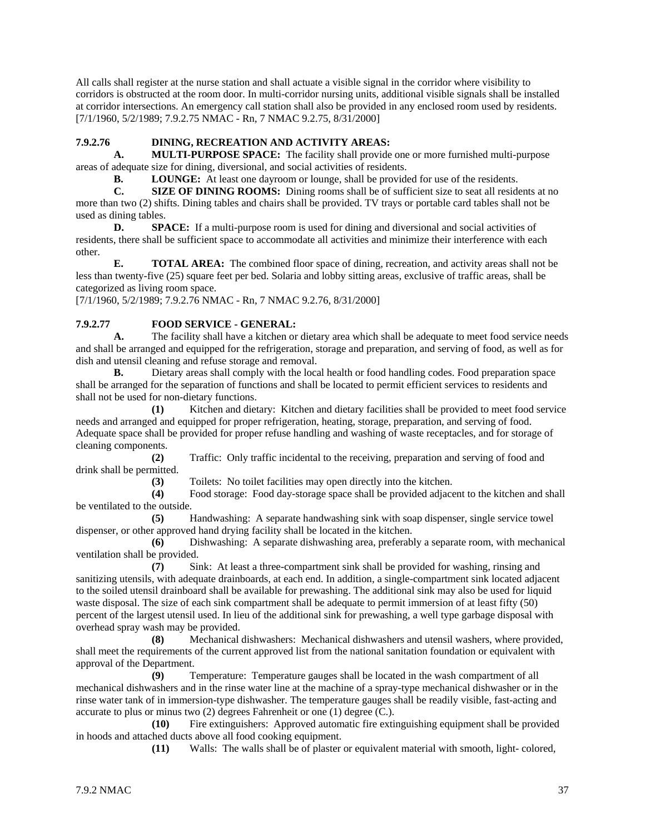All calls shall register at the nurse station and shall actuate a visible signal in the corridor where visibility to corridors is obstructed at the room door. In multi-corridor nursing units, additional visible signals shall be installed at corridor intersections. An emergency call station shall also be provided in any enclosed room used by residents. [7/1/1960, 5/2/1989; 7.9.2.75 NMAC - Rn, 7 NMAC 9.2.75, 8/31/2000]

#### **7.9.2.76 DINING, RECREATION AND ACTIVITY AREAS:**

**A. MULTI-PURPOSE SPACE:** The facility shall provide one or more furnished multi-purpose areas of adequate size for dining, diversional, and social activities of residents.

**B. LOUNGE:** At least one dayroom or lounge, shall be provided for use of the residents.

**C. SIZE OF DINING ROOMS:** Dining rooms shall be of sufficient size to seat all residents at no more than two (2) shifts. Dining tables and chairs shall be provided. TV trays or portable card tables shall not be used as dining tables.

**D. SPACE:** If a multi-purpose room is used for dining and diversional and social activities of residents, there shall be sufficient space to accommodate all activities and minimize their interference with each other.

**E. TOTAL AREA:** The combined floor space of dining, recreation, and activity areas shall not be less than twenty-five (25) square feet per bed. Solaria and lobby sitting areas, exclusive of traffic areas, shall be categorized as living room space.

[7/1/1960, 5/2/1989; 7.9.2.76 NMAC - Rn, 7 NMAC 9.2.76, 8/31/2000]

#### **7.9.2.77 FOOD SERVICE - GENERAL:**

**A.** The facility shall have a kitchen or dietary area which shall be adequate to meet food service needs and shall be arranged and equipped for the refrigeration, storage and preparation, and serving of food, as well as for dish and utensil cleaning and refuse storage and removal.

**B.** Dietary areas shall comply with the local health or food handling codes. Food preparation space shall be arranged for the separation of functions and shall be located to permit efficient services to residents and shall not be used for non-dietary functions.

**(1)** Kitchen and dietary: Kitchen and dietary facilities shall be provided to meet food service needs and arranged and equipped for proper refrigeration, heating, storage, preparation, and serving of food. Adequate space shall be provided for proper refuse handling and washing of waste receptacles, and for storage of cleaning components.

**(2)** Traffic: Only traffic incidental to the receiving, preparation and serving of food and drink shall be permitted.

(3) Toilets: No toilet facilities may open directly into the kitchen.<br>
(4) Food storage: Food day-storage space shall be provided adiace

Food storage: Food day-storage space shall be provided adjacent to the kitchen and shall be ventilated to the outside.

**(5)** Handwashing: A separate handwashing sink with soap dispenser, single service towel dispenser, or other approved hand drying facility shall be located in the kitchen.

**(6)** Dishwashing: A separate dishwashing area, preferably a separate room, with mechanical ventilation shall be provided.

**(7)** Sink: At least a three-compartment sink shall be provided for washing, rinsing and sanitizing utensils, with adequate drainboards, at each end. In addition, a single-compartment sink located adjacent to the soiled utensil drainboard shall be available for prewashing. The additional sink may also be used for liquid waste disposal. The size of each sink compartment shall be adequate to permit immersion of at least fifty (50) percent of the largest utensil used. In lieu of the additional sink for prewashing, a well type garbage disposal with overhead spray wash may be provided.

**(8)** Mechanical dishwashers: Mechanical dishwashers and utensil washers, where provided, shall meet the requirements of the current approved list from the national sanitation foundation or equivalent with approval of the Department.

**(9)** Temperature: Temperature gauges shall be located in the wash compartment of all mechanical dishwashers and in the rinse water line at the machine of a spray-type mechanical dishwasher or in the rinse water tank of in immersion-type dishwasher. The temperature gauges shall be readily visible, fast-acting and accurate to plus or minus two (2) degrees Fahrenheit or one (1) degree (C.).

**(10)** Fire extinguishers: Approved automatic fire extinguishing equipment shall be provided in hoods and attached ducts above all food cooking equipment.

**(11)** Walls: The walls shall be of plaster or equivalent material with smooth, light- colored,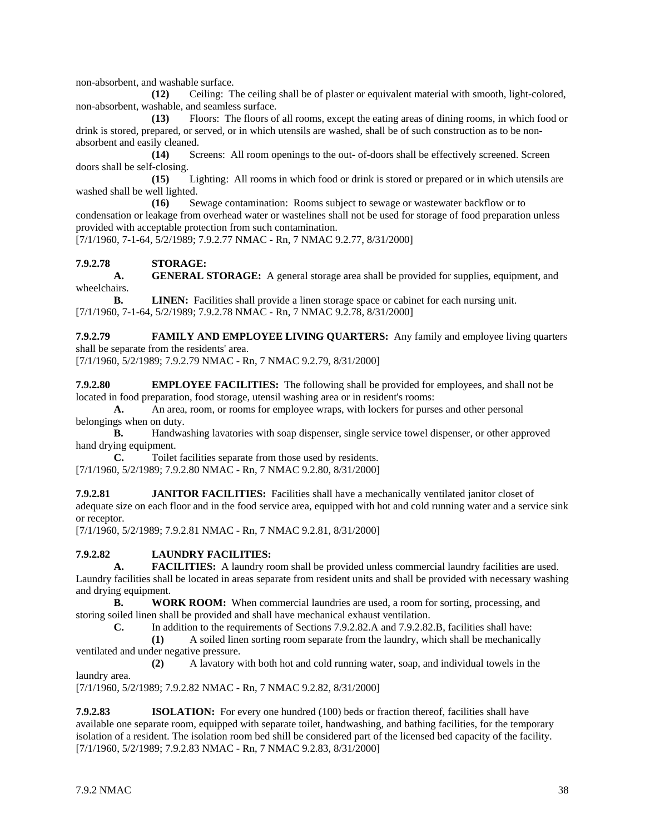non-absorbent, and washable surface.

**(12)** Ceiling: The ceiling shall be of plaster or equivalent material with smooth, light-colored, non-absorbent, washable, and seamless surface.

**(13)** Floors: The floors of all rooms, except the eating areas of dining rooms, in which food or drink is stored, prepared, or served, or in which utensils are washed, shall be of such construction as to be nonabsorbent and easily cleaned.

**(14)** Screens: All room openings to the out- of-doors shall be effectively screened. Screen doors shall be self-closing.

**(15)** Lighting: All rooms in which food or drink is stored or prepared or in which utensils are washed shall be well lighted.

**(16)** Sewage contamination: Rooms subject to sewage or wastewater backflow or to condensation or leakage from overhead water or wastelines shall not be used for storage of food preparation unless provided with acceptable protection from such contamination.

[7/1/1960, 7-1-64, 5/2/1989; 7.9.2.77 NMAC - Rn, 7 NMAC 9.2.77, 8/31/2000]

#### **7.9.2.78 STORAGE:**

**A. GENERAL STORAGE:** A general storage area shall be provided for supplies, equipment, and wheelchairs.

**B. LINEN:** Facilities shall provide a linen storage space or cabinet for each nursing unit. [7/1/1960, 7-1-64, 5/2/1989; 7.9.2.78 NMAC - Rn, 7 NMAC 9.2.78, 8/31/2000]

**7.9.2.79 FAMILY AND EMPLOYEE LIVING QUARTERS:** Any family and employee living quarters shall be separate from the residents' area.

[7/1/1960, 5/2/1989; 7.9.2.79 NMAC - Rn, 7 NMAC 9.2.79, 8/31/2000]

**7.9.2.80 EMPLOYEE FACILITIES:** The following shall be provided for employees, and shall not be located in food preparation, food storage, utensil washing area or in resident's rooms:

**A.** An area, room, or rooms for employee wraps, with lockers for purses and other personal belongings when on duty.

**B.** Handwashing lavatories with soap dispenser, single service towel dispenser, or other approved hand drying equipment.

**C.** Toilet facilities separate from those used by residents. [7/1/1960, 5/2/1989; 7.9.2.80 NMAC - Rn, 7 NMAC 9.2.80, 8/31/2000]

**7.9.2.81 JANITOR FACILITIES:** Facilities shall have a mechanically ventilated janitor closet of adequate size on each floor and in the food service area, equipped with hot and cold running water and a service sink or receptor.

[7/1/1960, 5/2/1989; 7.9.2.81 NMAC - Rn, 7 NMAC 9.2.81, 8/31/2000]

#### **7.9.2.82 LAUNDRY FACILITIES:**

**A. FACILITIES:** A laundry room shall be provided unless commercial laundry facilities are used. Laundry facilities shall be located in areas separate from resident units and shall be provided with necessary washing and drying equipment.

**B. WORK ROOM:** When commercial laundries are used, a room for sorting, processing, and storing soiled linen shall be provided and shall have mechanical exhaust ventilation.

**C.** In addition to the requirements of Sections 7.9.2.82.A and 7.9.2.82.B, facilities shall have:

**(1)** A soiled linen sorting room separate from the laundry, which shall be mechanically ventilated and under negative pressure.

**(2)** A lavatory with both hot and cold running water, soap, and individual towels in the laundry area.

[7/1/1960, 5/2/1989; 7.9.2.82 NMAC - Rn, 7 NMAC 9.2.82, 8/31/2000]

**7.9.2.83 ISOLATION:** For every one hundred (100) beds or fraction thereof, facilities shall have available one separate room, equipped with separate toilet, handwashing, and bathing facilities, for the temporary isolation of a resident. The isolation room bed shill be considered part of the licensed bed capacity of the facility. [7/1/1960, 5/2/1989; 7.9.2.83 NMAC - Rn, 7 NMAC 9.2.83, 8/31/2000]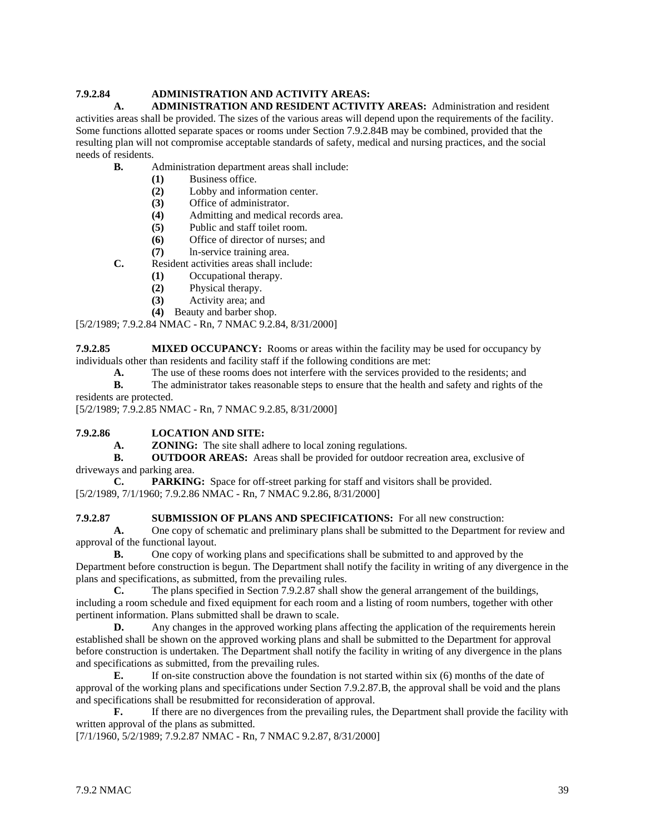## **7.9.2.84 ADMINISTRATION AND ACTIVITY AREAS:**

**A. ADMINISTRATION AND RESIDENT ACTIVITY AREAS:** Administration and resident activities areas shall be provided. The sizes of the various areas will depend upon the requirements of the facility. Some functions allotted separate spaces or rooms under Section 7.9.2.84B may be combined, provided that the resulting plan will not compromise acceptable standards of safety, medical and nursing practices, and the social needs of residents.

- **B.** Administration department areas shall include:
	- **(1)** Business office.
		- **(2)** Lobby and information center.
		- **(3)** Office of administrator.
		- **(4)** Admitting and medical records area.
		- **(5)** Public and staff toilet room.
	- **(6)** Office of director of nurses; and
	- **(7)** ln-service training area.
- **C.** Resident activities areas shall include:
	- **(1)** Occupational therapy.
	- **(2)** Physical therapy.
	- **(3)** Activity area; and
	- **(4)** Beauty and barber shop.

#### [5/2/1989; 7.9.2.84 NMAC - Rn, 7 NMAC 9.2.84, 8/31/2000]

**7.9.2.85 MIXED OCCUPANCY:** Rooms or areas within the facility may be used for occupancy by individuals other than residents and facility staff if the following conditions are met:

- **A.** The use of these rooms does not interfere with the services provided to the residents; and
- **B.** The administrator takes reasonable steps to ensure that the health and safety and rights of the residents are protected.

[5/2/1989; 7.9.2.85 NMAC - Rn, 7 NMAC 9.2.85, 8/31/2000]

#### **7.9.2.86 LOCATION AND SITE:**

**A. ZONING:** The site shall adhere to local zoning regulations.

**B. OUTDOOR AREAS:** Areas shall be provided for outdoor recreation area, exclusive of driveways and parking area.

**C. PARKING:** Space for off-street parking for staff and visitors shall be provided. [5/2/1989, 7/1/1960; 7.9.2.86 NMAC - Rn, 7 NMAC 9.2.86, 8/31/2000]

#### **7.9.2.87 SUBMISSION OF PLANS AND SPECIFICATIONS:** For all new construction:

**A.** One copy of schematic and preliminary plans shall be submitted to the Department for review and approval of the functional layout.

**B.** One copy of working plans and specifications shall be submitted to and approved by the Department before construction is begun. The Department shall notify the facility in writing of any divergence in the plans and specifications, as submitted, from the prevailing rules.

**C.** The plans specified in Section 7.9.2.87 shall show the general arrangement of the buildings, including a room schedule and fixed equipment for each room and a listing of room numbers, together with other pertinent information. Plans submitted shall be drawn to scale.

**D.** Any changes in the approved working plans affecting the application of the requirements herein established shall be shown on the approved working plans and shall be submitted to the Department for approval before construction is undertaken. The Department shall notify the facility in writing of any divergence in the plans and specifications as submitted, from the prevailing rules.

**E.** If on-site construction above the foundation is not started within six (6) months of the date of approval of the working plans and specifications under Section 7.9.2.87.B, the approval shall be void and the plans and specifications shall be resubmitted for reconsideration of approval.

**F.** If there are no divergences from the prevailing rules, the Department shall provide the facility with written approval of the plans as submitted.

[7/1/1960, 5/2/1989; 7.9.2.87 NMAC - Rn, 7 NMAC 9.2.87, 8/31/2000]